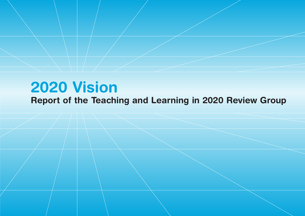## **2020 Vision Report of the Teaching and Learning in 2020 Review Group**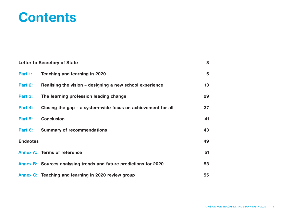## **Contents**

| <b>Letter to Secretary of State</b> |                                                                   | 3  |
|-------------------------------------|-------------------------------------------------------------------|----|
| Part 1:                             | Teaching and learning in 2020                                     | 5  |
| Part 2:                             | Realising the vision - designing a new school experience          | 13 |
| <b>Part 3:</b>                      | The learning profession leading change                            | 29 |
| Part 4:                             | Closing the gap - a system-wide focus on achievement for all      | 37 |
| <b>Part 5:</b>                      | <b>Conclusion</b>                                                 | 41 |
| Part 6:                             | <b>Summary of recommendations</b>                                 | 43 |
| <b>Endnotes</b>                     |                                                                   | 49 |
|                                     | <b>Annex A: Terms of reference</b>                                | 51 |
|                                     | Annex B: Sources analysing trends and future predictions for 2020 | 53 |
|                                     | Annex C: Teaching and learning in 2020 review group               | 55 |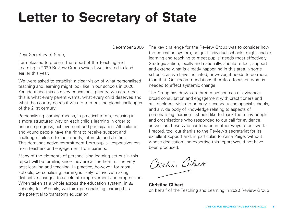# **Letter to Secretary of State**

December 2006

Dear Secretary of State,

I am pleased to present the report of the Teaching and Learning in 2020 Review Group which I was invited to lead earlier this year.

We were asked to establish a clear vision of what personalised teaching and learning might look like in our schools in 2020. You identified this as a key educational priority; we agree that this is what every parent wants, what every child deserves and what the country needs if we are to meet the global challenges of the 21st century.

Personalising learning means, in practical terms, focusing in a more structured way on each child's learning in order to enhance progress, achievement and participation. All children and young people have the right to receive support and challenge, tailored to their needs, interests and abilities. This demands active commitment from pupils, responsiveness from teachers and engagement from parents.

Many of the elements of personalising learning set out in this report will be familiar, since they are at the heart of the very best learning and teaching. In practice, however, for most schools, personalising learning is likely to involve making distinctive changes to accelerate improvement and progression. When taken as a whole across the education system, in *all* schools, for *all* pupils, we think personalising learning has the potential to transform education.

The key challenge for the Review Group was to consider how the education system, not just individual schools, might enable learning and teaching to meet pupils' needs most effectively. Strategic action, locally and nationally, should reflect, support and extend what is already happening in this area in some schools; as we have indicated, however, it needs to do more than that. Our recommendations therefore focus on what is needed to effect systemic change.

The Group has drawn on three main sources of evidence: broad consultation and engagement with practitioners and stakeholders; visits to primary, secondary and special schools; and a wide body of knowledge relating to aspects of personalising learning. I should like to thank the many people and organisations who responded to our call for evidence, as well as those who contributed in other ways to our work. I record, too, our thanks to the Review's secretariat for its excellent support and, in particular, to Anna Paige, without whose dedication and expertise this report would not have been produced.

Clistie Ciker

**Christine Gilbert** on behalf of the Teaching and Learning in 2020 Review Group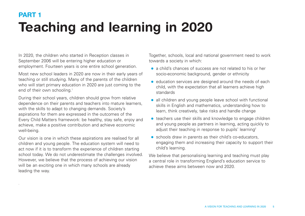## **PART 1 Teaching and learning in 2020**

In 2020, the children who started in Reception classes in September 2006 will be entering higher education or employment. Fourteen years is one entire school generation.

Most new school leaders in 2020 are now in their early years of teaching or still studying. Many of the parents of the children who will start primary education in 2020 are just coming to the end of their own schooling.<sup>1</sup>

During their school years, children should grow from relative dependence on their parents and teachers into mature learners, with the skills to adapt to changing demands. Society's aspirations for them are expressed in the outcomes of the Every Child Matters framework: be healthy, stay safe, enjoy and achieve, make a positive contribution and achieve economic well-being.

Our vision is one in which these aspirations are realised for all children and young people. The education system will need to act now if it is to transform the experience of children starting school today. We do not underestimate the challenges involved. However, we believe that the process of achieving our vision will be an exciting one in which many schools are already leading the way.

.

Together, schools, local and national government need to work towards a society in which:

- a child's chances of success are not related to his or her socio-economic background, gender or ethnicity
- $\bullet$  education services are designed around the needs of each child, with the expectation that all learners achieve high standards
- $\bullet$  all children and young people leave school with functional skills in English and mathematics, understanding how to learn, think creatively, take risks and handle change
- $\bullet$  teachers use their skills and knowledge to engage children and young people as partners in learning, acting quickly to adjust their teaching in response to pupils' learning<sup>2</sup>
- **.** schools draw in parents as their child's co-educators, engaging them and increasing their capacity to support their child's learning.

We believe that personalising learning and teaching must play a central role in transforming England's education service to achieve these aims between now and 2020.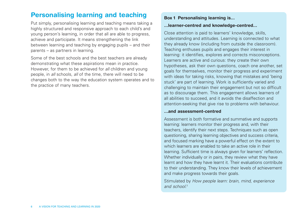## **Personalising learning and teaching**

Put simply, personalising learning and teaching means taking a highly structured and responsive approach to each child's and young person's learning, in order that all are able to progress, achieve and participate. It means strengthening the link between learning and teaching by engaging pupils – and their parents – as partners in learning.

Some of the best schools and the best teachers are already demonstrating what these aspirations mean in practice. However, for them to be achieved for *all* children and young people, in *all* schools, *all* of the time, there will need to be changes both to the way the education system operates and to the practice of many teachers.

#### **Box 1 Personalising learning is...**

#### **...learner-centred and knowledge-centred...**

Close attention is paid to learners' knowledge, skills, understanding and attitudes. Learning is connected to what they already know (including from outside the classroom). Teaching enthuses pupils and engages their interest in learning: it identifies, explores and corrects misconceptions. Learners are active and curious: they create their own hypotheses, ask their own questions, coach one another, set goals for themselves, monitor their progress and experiment with ideas for taking risks, knowing that mistakes and 'being stuck' are part of learning. Work is sufficiently varied and challenging to maintain their engagement but not so difficult as to discourage them. This engagement allows learners of all abilities to succeed, and it avoids the disaffection and attention-seeking that give rise to problems with behaviour.

#### **...and assessment-centred**

Assessment is both formative and summative and supports learning: learners monitor their progress and, with their teachers, identify their next steps. Techniques such as open questioning, sharing learning objectives and success criteria, and focused marking have a powerful effect on the extent to which learners are enabled to take an active role in their learning. Sufficient time is always given for learners' reflection. Whether individually or in pairs, they review what they have learnt and how they have learnt it. Their evaluations contribute to their understanding. They know their levels of achievement and make progress towards their goals.

Stimulated by *How people learn: brain, mind, experience and school*. 3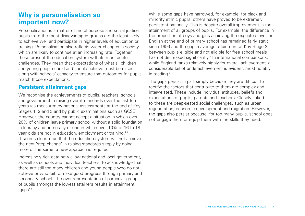## **Why is personalisation so important now?**

Personalisation is a matter of moral purpose and social justice: pupils from the most disadvantaged groups are the least likely to achieve well and participate in higher levels of education or training. Personalisation also reflects wider changes in society, which are likely to continue at an increasing rate. Together, these present the education system with its most acute challenges. They mean that expectations of what all children and young people could and should achieve must be raised, along with schools' capacity to ensure that outcomes for pupils match those expectations.

#### **Persistent attainment gaps**

We recognise the achievements of pupils, teachers, schools and government in raising overall standards over the last ten years (as measured by national assessments at the end of Key Stages 1, 2 and 3 and by public examinations such as GCSE). However, the country cannot accept a situation in which over 20% of children leave primary school without a solid foundation in literacy and numeracy or one in which over 10% of 16 to 18 year olds are not in education, employment or training.<sup>4,5</sup> It seems clear to us that the education system will not achieve the next 'step change' in raising standards simply by doing more of the same: a new approach is required.

Increasingly rich data now allow national and local government, as well as schools and individual teachers, to acknowledge that there are still too many children and young people who do not achieve or who fail to make good progress through primary and secondary school. The over-representation of particular groups of pupils amongst the lowest attainers results in attainment 'gaps'.6

While some gaps have narrowed, for example, for black and minority ethnic pupils, others have proved to be extremely persistent nationally. This is despite overall improvement in the attainment of all groups of pupils. For example, the difference in the proportion of boys and girls achieving the expected levels in English at the end of primary school has remained fairly static since 1999 and the gap in average attainment at Key Stage 2 between pupils eligible and not eligible for free school meals has not decreased significantly.<sup>7</sup> In international comparisons, while England ranks relatively highly for overall achievement, a considerable tail of underachievement is evident, most notably in reading.<sup>8</sup>

The gaps persist in part simply because they are difficult to rectify: the factors that contribute to them are complex and inter-related. These include individual attitudes, beliefs and expectations of pupils, parents and teachers. Closely linked to these are deep-seated social challenges, such as urban regeneration, economic development and migration. However, the gaps also persist because, for too many pupils, school does not engage them or equip them with the skills they need.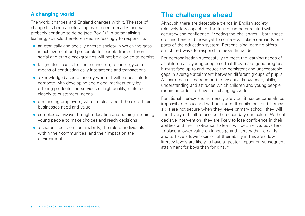### **A changing world**

The world changes and England changes with it. The rate of change has been accelerating over recent decades and will probably continue to do so (see Box 2).9 In personalising learning, schools therefore need increasingly to respond to:

- $\bullet$  an ethnically and socially diverse society in which the gaps in achievement and prospects for people from different social and ethnic backgrounds will not be allowed to persist
- $\bullet$  far greater access to, and reliance on, technology as a means of conducting daily interactions and transactions
- a knowledge-based economy where it will be possible to compete with developing and global markets only by offering products and services of high quality, matched closely to customers' needs
- $\bullet$  demanding employers, who are clear about the skills their businesses need and value
- $\bullet$  complex pathways through education and training, requiring young people to make choices and reach decisions
- $\bullet$  a sharper focus on sustainability, the role of individuals within their communities, and their impact on the environment.

### **The challenges ahead**

Although there are detectable trends in English society, relatively few aspects of the future can be predicted with accuracy and confidence. Meeting the challenges – both those outlined here and those yet to come – will place demands on all parts of the education system. Personalising learning offers structured ways to respond to these demands.

For personalisation successfully to meet the learning needs of all children and young people so that they make good progress. it must face up to and reduce the persistent and unacceptable gaps in average attainment between different groups of pupils. A sharp focus is needed on the essential knowledge, skills, understanding and attitudes which children and young people require in order to thrive in a changing world.

Functional literacy and numeracy are vital: it has become almost impossible to succeed without them. If pupils' oral and literacy skills are not secure when they leave primary school, they will find it very difficult to access the secondary curriculum. Without decisive intervention, they are likely to lose confidence in their abilities and their motivation to learn will decline. As boys tend to place a lower value on language and literacy than do girls, and to have a lower opinion of their ability in this area, low literacy levels are likely to have a greater impact on subsequent attainment for boys than for girls.<sup>10</sup>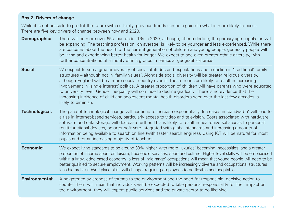#### **Box 2 Drivers of change**

While it is not possible to predict the future with certainty, previous trends can be a guide to what is more likely to occur. There are five key drivers of change between now and 2020.

- **Demographic:** There will be more over-65s than under-16s in 2020, although, after a decline, the primary-age population will be expanding. The teaching profession, on average, is likely to be younger and less experienced. While there are concerns about the health of the current generation of children and young people, generally people will be living and experiencing better health for longer. We expect to see even greater ethnic diversity, with further concentrations of minority ethnic groups in particular geographical areas.
- **Social:** We expect to see a greater diversity of social attitudes and expectations and a decline in 'traditional' family structures – although not in 'family values'. Alongside social diversity will be greater religious diversity, although England will be a more secular country overall. These trends are likely to result in increasing involvement in 'single interest' politics. A greater proportion of children will have parents who were educated to university level. Gender inequality will continue to decline gradually. There is no evidence that the increasing incidence of child and adolescent mental health disorders seen over the last few decades is likely to diminish.
- **Technological:** The pace of technological change will continue to increase exponentially. Increases in 'bandwidth' will lead to a rise in internet-based services, particularly access to video and television. Costs associated with hardware, software and data storage will decrease further. This is likely to result in near-universal access to personal, multi-functional devices, smarter software integrated with global standards and increasing amounts of information being available to search on line (with faster search engines). Using ICT will be natural for most pupils and for an increasing majority of teachers.
- **Economic:** We expect living standards to be around 30% higher, with more 'luxuries' becoming 'necessities' and a greater proportion of income spent on leisure, household services, sport and culture. Higher level skills will be emphasised within a knowledge-based economy: a loss of 'mid-range' occupations will mean that young people will need to be better qualified to secure employment. Working patterns will be increasingly diverse and occupational structures less hierarchical. Workplace skills will change, requiring employees to be flexible and adaptable.
- **Environmental:** A heightened awareness of threats to the environment and the need for responsible, decisive action to counter them will mean that individuals will be expected to take personal responsibility for their impact on the environment; they will expect public services and the private sector to do likewise.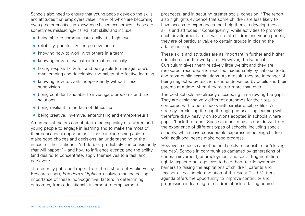Schools also need to ensure that young people develop the skills and attitudes that employers value, many of which are becoming even greater priorities in knowledge-based economies. These are sometimes misleadingly called 'soft skills' and include:

- $\bullet$  being able to communicate orally at a high level
- $\bullet$  reliability, punctuality and perseverance
- $\bullet$  knowing how to work with others in a team
- $\bullet$  knowing how to evaluate information critically
- $\bullet$  taking responsibility for, and being able to manage, one's own learning and developing the habits of effective learning
- $\bullet$  knowing how to work independently without close supervision
- $\bullet$  being confident and able to investigate problems and find solutions
- $\bullet$  being resilient in the face of difficulties
- $\bullet$  being creative, inventive, enterprising and entrepreneurial.

A number of factors contribute to the capability of children and young people to engage in learning and to make the most of their educational opportunities. These include being able to make good choices and decisions; an understanding of the impact of their actions – 'if I do *this*, predictably and consistently *that* will happen' – and how to influence events; and the ability (and desire) to concentrate, apply themselves to a task and persevere.

The recently published report from the Institute of Public Policy Research (ippr), *Freedom's Orphans*, analyses the increasing importance of these 'non-cognitive' factors in determining outcomes, from educational attainment to employment

prospects, and in securing greater social cohesion.11 The report also highlights evidence that some children are less likely to have access to experiences that help them to develop these skills and attitudes.<sup>12</sup> Consequently, while activities to promote such development are of value to all children and young people, they are of particular value to certain groups in closing the attainment gap.

These skills and attitudes are as important in further and higher education as in the workplace. However, the National Curriculum gives them relatively little weight and they are measured, recorded and reported inadequately by national tests and most public examinations. As a result, they are in danger of being neglected by teachers and undervalued by pupils and their parents at a time when they matter more than ever.

The best schools are already succeeding in narrowing the gaps. They are achieving very different outcomes for their pupils compared with other schools with similar pupil profiles. A strategy for closing the gap through personalising learning will therefore draw heavily on solutions adopted in schools where pupils 'buck the trend'. Such solutions may also be drawn from the experience of different types of schools, including special schools, which have considerable expertise in helping children with additional needs make good progress.

However, schools cannot be held solely responsible for 'closing the gap'. Schools in communities damaged by generations of underachievement, unemployment and social fragmentation rightly expect other agencies to help them tackle systemic barriers to raising the aspirations of children, parents and teachers. Local implementation of the Every Child Matters agenda offers the opportunity to improve continuity and progression in learning for children at risk of falling behind.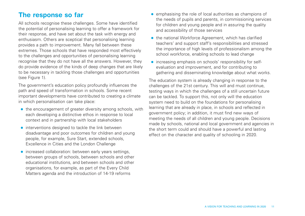## **The response so far**

All schools recognise these challenges. Some have identified the potential of personalising learning to offer a framework for their response, and have set about the task with energy and enthusiasm. Others are sceptical that personalising learning provides a path to improvement. Many fall between these extremes. Those schools that have responded most effectively to the challenges and opportunities of personalising learning recognise that they do not have all the answers. However, they do provide evidence of the kinds of deep changes that are likely to be necessary in tackling those challenges and opportunities (see Figure 1).

The government's education policy profoundly influences the path and speed of transformation in schools. Some recent important developments have contributed to creating a climate in which personalisation can take place:

- $\bullet$  the encouragement of greater diversity among schools, with each developing a distinctive ethos in response to local context and in partnership with local stakeholders
- $\bullet$  interventions designed to tackle the link between disadvantage and poor outcomes for children and young people, for example, Sure Start, extended schools, Excellence in Cities and the London Challenge
- **.** increased collaboration: between early years settings, between groups of schools, between schools and other educational institutions, and between schools and other organisations, for example, as part of the Every Child Matters agenda and the introduction of 14-19 reforms
- **•** emphasising the role of local authorities as champions of the needs of pupils and parents, in commissioning services for children and young people and in assuring the quality and accessibility of those services
- the national Workforce Agreement, which has clarified teachers' and support staff's responsibilities and stressed the importance of high levels of professionalism among the school workforce, enabling schools to lead change
- **•** increasing emphasis on schools' responsibility for selfevaluation and improvement, and for contributing to gathering and disseminating knowledge about what works.

The education system is already changing in response to the challenges of the 21st century. This will and must continue, testing ways in which the challenges of a still uncertain future can be tackled. To support this, not only will the education system need to build on the foundations for personalising learning that are already in place, in schools and reflected in government policy; in addition, it must find new ways of meeting the needs of all children and young people. Decisions made by schools, national and local government and agencies in the short term could and should have a powerful and lasting effect on the character and quality of schooling in 2020.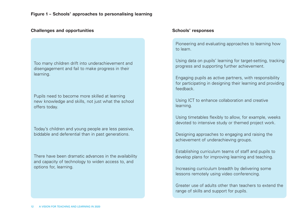#### **Figure 1 – Schools' approaches to personalising learning**

#### Challenges and opportunities **Schools'** responses

Too many children drift into underachievement and disengagement and fail to make progress in their learning.

Pupils need to become more skilled at learning new knowledge and skills, not just what the school offers today.

Today's children and young people are less passive, biddable and deferential than in past generations.

There have been dramatic advances in the availability and capacity of technology to widen access to, and options for, learning.

Pioneering and evaluating approaches to learning how to learn.

Using data on pupils' learning for target-setting, tracking progress and supporting further achievement.

Engaging pupils as active partners, with responsibility for participating in designing their learning and providing feedback.

Using ICT to enhance collaboration and creative learning.

Using timetables flexibly to allow, for example, weeks devoted to intensive study or themed project work.

Designing approaches to engaging and raising the achievement of underachieving groups.

Establishing curriculum teams of staff and pupils to develop plans for improving learning and teaching.

Increasing curriculum breadth by delivering some lessons remotely using video conferencing.

Greater use of adults other than teachers to extend the range of skills and support for pupils.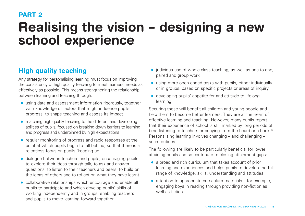## **PART 2**

## **Realising the vision – designing a new school experience**

## **High quality teaching**

Any strategy for personalising learning must focus on improving the consistency of high quality teaching to meet learners' needs as effectively as possible. This means strengthening the relationship between learning and teaching through:

- $\bullet$  using data and assessment information rigorously, together with knowledge of factors that might influence pupils' progress, to shape teaching and assess its impact
- matching high quality teaching to the different and developing abilities of pupils, focused on breaking down barriers to learning and progress and underpinned by high expectations
- **•** regular monitoring of progress and rapid responses at the point at which pupils begin to fall behind, so that there is a relentless focus on pupils 'keeping up'
- $\bullet$  dialogue between teachers and pupils, encouraging pupils to explore their ideas through talk, to ask and answer questions, to listen to their teachers and peers, to build on the ideas of others and to reflect on what they have learnt
- $\bullet$  collaborative relationships which encourage and enable all pupils to participate and which develop pupils' skills of working independently and in groups, enabling teachers and pupils to move learning forward together
- $\bullet$  judicious use of whole-class teaching, as well as one-to-one, paired and group work
- $\bullet$  using more open-ended tasks with pupils, either individually or in groups, based on specific projects or areas of inquiry
- $\bullet$  developing pupils' appetite for and attitude to lifelong learning.

Securing these will benefit all children and young people and help them to become better learners. They are at the heart of effective learning and teaching. However, many pupils report that their experience of school is still marked by long periods of time listening to teachers or copying from the board or a book.<sup>13</sup> Personalising learning involves changing – and challenging – such routines.

The following are likely to be particularly beneficial for lower attaining pupils and so contribute to closing attainment gaps:

- a broad and rich curriculum that takes account of prior learning and experiences and helps pupils to develop the full range of knowledge, skills, understanding and attitudes
- $\bullet$  attention to appropriate curriculum materials  $-$  for example, engaging boys in reading through providing non-fiction as well as fiction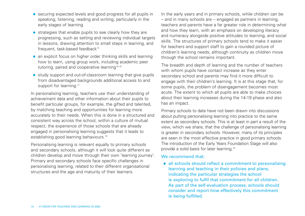- **.** securing expected levels and good progress for all pupils in speaking, listening, reading and writing, particularly in the early stages of learning
- $\bullet$  strategies that enable pupils to see clearly how they are progressing, such as setting and reviewing individual targets in lessons, drawing attention to small steps in learning, and frequent, task-based feedback<sup>14</sup>
- an explicit focus on higher order thinking skills and learning how to learn, using group work, including academic peer tutoring, paired and cooperative learning<sup>15,16</sup>
- **.** study support and out-of-classroom learning that give pupils from disadvantaged backgrounds additional access to and support for learning.<sup>17</sup>

In personalising learning, teachers use their understanding of achievement data and other information about their pupils to benefit particular groups, for example, the gifted and talented, by matching teaching and opportunities for learning more accurately to their needs. When this is done in a structured and consistent way across the school, within a culture of mutual respect, the experience of those schools that are already engaged in personalising learning suggests that it leads to establishing good learning behaviours.18

Personalising learning is relevant equally to primary schools and secondary schools, although it will look quite different as children develop and move through their own 'learning journey'. Primary and secondary schools face specific challenges in personalising learning, related to their different organisational structures and the age and maturity of their learners.

In the early years and in primary schools, while children can be – and in many schools are – engaged as partners in learning, teachers and parents have a far greater role in determining what and how they learn, with an emphasis on developing literacy and numeracy alongside positive attitudes to learning, and social skills. The structures of primary schools tend to make it easier for teachers and support staff to gain a rounded picture of children's learning needs, although continuity as children move through the school remains important.

The breadth and depth of learning and the number of teachers with whom pupils have contact increase as they enter secondary school and parents may find it more difficult to engage with their children's learning. It is at this stage that, for some pupils, the problem of disengagement becomes most acute. The extent to which all pupils are able to make choices about their learning increases during the 14-19 phase and also has an impact.

Primary schools to date have not been drawn into discussions about putting personalising learning into practice to the same extent as secondary schools. This is at least in part a result of the view, which we share, that the challenge of personalising learning is greater in secondary schools. However, many of its principles are seen in the most effective practice in good primary schools. The introduction of the Early Years Foundation Stage will also provide a solid basis for later learning.19

#### We recommend that:

• all schools should reflect a commitment to personalising learning and teaching in their policies and plans, indicating the particular strategies the school is exploring to fulfil that commitment for all children. As part of the self-evaluation process, schools should consider and report how effectively this commitment is being fulfilled.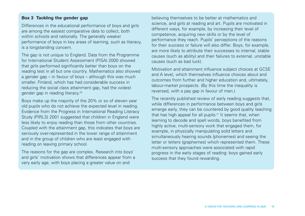#### **Box 3 Tackling the gender gap**

Differences in the educational performance of boys and girls are among the easiest comparative data to collect, both within schools and nationally. The generally weaker performance of boys in key areas of learning, such as literacy, is a longstanding concern.

The gap is not unique to England. Data from the Programme for International Student Assessment (PISA) 2000 showed that girls performed significantly better than boys on the reading test in all but one country. Mathematics also showed a gender gap – in favour of boys – although this was much smaller. Finland, which has had considerable success in reducing the social class attainment gap, had the widest gender gap in reading literacy.<sup>20</sup>

Boys make up the majority of the 20% or so of eleven year old pupils who do not achieve the expected level in reading. Evidence from the Progress in International Reading Literacy Study (PIRLS) 2001 suggested that children in England were less likely to enjoy reading than those from other countries. Coupled with the attainment gap, this indicates that boys are seriously over-represented in the lower range of attainment and in the group of children who are least engaged with reading on leaving primary school.

The reasons for the gap are complex. Research into boys' and girls' motivation shows that differences appear from a very early age, with boys placing a greater value on and

believing themselves to be better at mathematics and science, and girls at reading and art. Pupils are motivated in different ways, for example, by increasing their level of competence, acquiring new skills or by the level of performance they reach. Pupils' perceptions of the reasons for their success or failure will also differ. Boys, for example, are more likely to attribute their successes to internal, stable causes (such as ability) and their failures to external, unstable causes (such as bad luck).

Motivation and attainment influence subject choices at GCSE and A level, which themselves influence choices about and outcomes from further and higher education and, ultimately, labour-market prospects. (By this time the inequality is reversed, with a pay gap in favour of men.)

The recently published review of early reading suggests that, while differences in performance between boys and girls emerge early, they can be countered by good quality teaching that has high appeal for all pupils. $21$  It seems that, when learning to decode and spell words, boys benefited from highly active, multi-sensory work that engaged them, for example, in physically manipulating solid letters and simultaneously hearing sounds (phonemes) and seeing the letter or letters (graphemes) which represented them. These multi-sensory approaches were associated with rapid progress in the early stages of reading: boys gained early success that they found rewarding.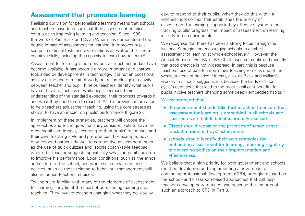## **Assessment that promotes learning**

Realising our vision for personalising learning means that schools and teachers have to ensure that their assessment practices contribute to improving learning and teaching. Since 1998, the work of Paul Black and Dylan Wiliam has demonstrated the double impact of assessment for learning: it improves pupils' scores in national tests and examinations as well as their metacognitive skills, including the capacity to learn how to learn.22

Assessment for learning is not new but, as much richer data have become available, it has become a more important and sharper tool, aided by developments in technology. It is not an occasional activity at the end of a unit of work, but a complex, joint activity between teacher and pupil. It helps teachers identify what pupils have or have not achieved, while pupils increase their understanding of the standard expected, their progress towards it and what they need to do to reach it. All this provides information to help teachers adjust their teaching, using five core strategies shown to have an impact on pupils' performance (Figure 2).

In implementing these strategies, teachers will choose the approaches and techniques that they consider likely to have the most significant impact, according to their pupils' responses and their own teaching style and preferences. For example, boys may respond particularly well to competitive assessment, such as the use of quick quizzes and 'sports coach'-style feedback, where the teacher suggests specifically what the pupil could do to improve his performance. Local conditions, such as the ethos and culture of the school, and whole-school systems and policies, such as those relating to behaviour management, will also influence teachers' choices.

Teachers are familiar with many of the elements of assessment for learning: they lie at the heart of outstanding learning and teaching. They involve teachers changing what they do, day by

day, to respond to their pupils. When they do this within a whole-school context that establishes the priority of assessment for learning, supported by effective systems for tracking pupils' progress, the impact of assessment on learning is likely to be considerable.

We recognise that there has been a strong focus through the National Strategies on encouraging schools to establish assessment for learning at whole-school level.<sup>23</sup> However, the Annual Report of Her Majesty's Chief Inspector confirmed recently that good practice is not widespread. In part, this is because teachers' use of data to inform their teaching remains one of the weakest areas of practice.24 In part, also, as Black and Wiliam's work with schools suggests, it is because the kinds of 'short cycle' adaptations that lead to the most significant benefits for pupils involve teachers changing some deeply embedded habits.<sup>25</sup>

#### We recommend that:

- $\bullet$  the government should take further action to ensure that assessment for learning is embedded in all schools and classrooms so that its benefits are fully realised
- Ofsted should report on the practices of schools that 'buck the trend' in boys' achievement
- **.** schools should identify their own strategies for embedding assessment for learning, reporting regularly to governing bodies on their implementation and effectiveness.

We believe that a high priority for both government and schools must be developing and implementing a new model of continuing professional development (CPD), strongly focused on the school- and classroom-based approaches that will help teachers develop new routines. We describe the features of such an approach to CPD in Part 3.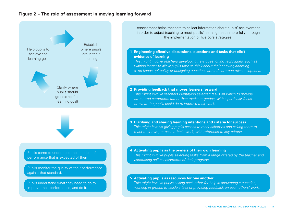#### **Figure 2 – The role of assessment in moving learning forward**



Assessment helps teachers to collect information about pupils' achievement in order to adjust teaching to meet pupils' learning needs more fully, through the implementation of five core strategies.

#### **Engineering effective discussions, questions and tasks that elicit evidence of learning**

*This might involve teachers developing new questioning techniques, such as waiting longer to allow pupils time to think about their answer, adopting 'no hands up policy or designing questions around common misconceptions.*

#### **2 Providing feedback that moves learners forward** *This might involve teachers identifying selected tasks on which to provide structured comments rathe han marks or grades with particular focus on what the pupils could do to improve their work.*

**larifying and sharing learning intention and criteria for succe** *This might involve giving pupils access to mark schemes and asking them to mark their own, or each other's work, with reference to key criteria.* 

#### **4** Activating pupils as the owners of their own learning *This might involve pupils selecting tasks from a range offered by the teacher and conducting self-assessments of their progress.*

#### **5** Activating pupils as resources for one another

*This might involve pupils asking each other for help in answering a question, working in groups to tackle a task or providing feedback on each others' work.*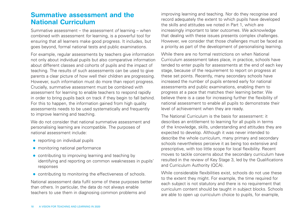### **Summative assessment and the National Curriculum**

Summative assessment – the assessment *of* learning – when combined with assessment *for* learning, is a powerful tool for ensuring that all learners make good progress. It includes, but goes beyond, formal national tests and public examinations.

For example, regular assessments by teachers give information not only about individual pupils but also comparative information about different classes and cohorts of pupils and the impact of teaching. The results of such assessments can be used to give parents a clear picture of how well their children are progressing. However, such information must do more than report progress. Crucially, summative assessment must be combined with assessment for learning to enable teachers to respond rapidly in order to bring pupils back on track if they begin to fall behind. For this to happen, the information gained from high quality assessments needs to be used systematically and frequently to improve learning and teaching.

We do not consider that national summative assessment and personalising learning are incompatible. The purposes of national assessment include:

- $\bullet$  reporting on individual pupils
- **•** monitoring national performance
- $\bullet$  contributing to improving learning and teaching by identifying and reporting on common weaknesses in pupils' responses
- **•** contributing to monitoring the effectiveness of schools.

National assessment data fulfil some of these purposes better than others. In particular, the data do not always enable teachers to use them in diagnosing common problems and

improving learning and teaching. Nor do they recognise and record adequately the extent to which pupils have developed the skills and attitudes we noted in Part 1, which are increasingly important to later outcomes. We acknowledge that dealing with these issues presents complex challenges. However, we consider that those challenges must be faced as a priority as part of the development of personalising learning.

While there are no formal restrictions on when National Curriculum assessment takes place, in practice, schools have tended to enter pupils for assessments at the end of each key stage, because of the requirement to report on progress at these set points. Recently, many secondary schools have increased the number of pupils entered early for national assessments and public examinations, enabling them to progress at a pace that matches their learning better. We believe there is a case for increasing further the flexibility of national assessment to enable all pupils to demonstrate their level of achievement when they are ready.

The National Curriculum is the basis for assessment: it describes an entitlement to learning for all pupils in terms of the knowledge, skills, understanding and attitudes they are expected to develop. Although it was never intended to describe the whole curriculum, many primary and secondary schools nevertheless perceive it as being too extensive and prescriptive, with too little scope for local flexibility. Recent moves to tackle concerns about the secondary curriculum have resulted in the review of Key Stage 3, led by the Qualifications and Curriculum Authority (QCA).

While considerable flexibilities exist, schools do not use these to the extent they might. For example, the time required for each subject is not statutory and there is no requirement that curriculum content should be taught in subject blocks. Schools are able to open up curriculum choice to pupils, for example,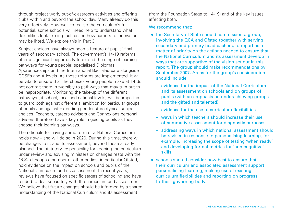through project work, out-of-classroom activities and offering clubs within and beyond the school day. Many already do this very effectively. However, to realise the curriculum's full potential, some schools will need help to understand what flexibilities look like in practice and how barriers to innovation may be lifted. We explore this in Part 3.

Subject choices have always been a feature of pupils' final years of secondary school. The government's 14-19 reforms offer a significant opportunity to extend the range of learning pathways for young people: specialised Diplomas,

Apprenticeships and the International Baccalaureate alongside GCSEs and A levels. As these reforms are implemented, it will be vital to ensure that the choices young people make at 14 do not commit them irreversibly to pathways that may turn out to be inappropriate. Monitoring the take-up of the different pathways (at school, local and national levels) will be important to guard both against differential ambition for particular groups of pupils and against extending gender-stereotypical subject choices. Teachers, careers advisers and Connexions personal advisers therefore have a key role in guiding pupils as they choose their learning pathways.

The rationale for having some form of a National Curriculum holds now – and will do so in 2020. During this time, there will be changes to it, and its assessment, beyond those already planned. The statutory responsibility for keeping the curriculum under review and advising ministers on changes rests with the QCA, although a number of other bodies, in particular Ofsted, hold evidence on the impact on schools and pupils of the National Curriculum and its assessment. In recent years, reviews have focused on specific stages of schooling and have tended to deal separately with the curriculum and assessment. We believe that future changes should be informed by a shared understanding of the National Curriculum and its assessment

(from the Foundation Stage to 14-19) and of the key issues affecting both.

- the Secretary of State should commission a group, involving the QCA and Ofsted together with serving secondary and primary headteachers, to report as a matter of priority on the actions needed to ensure that the National Curriculum and its assessment develop in ways that are supportive of the vision set out in this report. The group should make recommendations by September 2007. Areas for the group's consideration should include:
	- evidence for the impact of the National Curriculum and its assessment on schools and on groups of pupils (with an emphasis on underachieving groups and the gifted and talented)
	- evidence for the use of curriculum flexibilities
	- ways in which teachers should increase their use of summative assessment for diagnostic purposes
	- addressing ways in which national assessment should be revised in response to personalising learning, for example, increasing the scope of testing 'when ready' and developing formal metrics for 'non-cognitive' skills.
- **.** schools should consider how best to ensure that their curriculum and associated assessment support personalising learning, making use of existing curriculum flexibilities and reporting on progress to their governing body.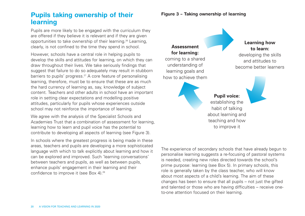## **Pupils taking ownership of their learning**

Pupils are more likely to be engaged with the curriculum they are offered if they believe it is relevant and if they are given opportunities to take ownership of their learning.26 Learning, clearly, is not confined to the time they spend in school.

However, schools have a central role in helping pupils to develop the skills and attitudes for learning, on which they can draw throughout their lives. We take seriously findings that suggest that failure to do so adequately may result in stubborn barriers to pupils' progress.<sup>27</sup> A core feature of personalising learning, therefore, must be to ensure that these are as much the hard currency of learning as, say, knowledge of subject content. Teachers and other adults in school have an important role in setting clear expectations and modelling positive attitudes, particularly for pupils whose experiences outside school may not reinforce the importance of learning.

We agree with the analysis of the Specialist Schools and Academies Trust that a combination of assessment for learning, learning how to learn and pupil voice has the potential to contribute to developing all aspects of learning (see Figure 3).

In schools where the greatest progress is being made in these areas, teachers and pupils are developing a more sophisticated language with which to talk explicitly about learning and how it can be explored and improved. Such 'learning conversations' between teachers and pupils, as well as between pupils, enhance pupils' engagement in their learning and their confidence to improve it (see Box 4).<sup>28</sup>

#### **Figure 3 – Taking ownership of learning**

**Assessment for earning:** coming to a shared understanding of learning goals and how to achieve them

#### **Learning how to earn:**

developing the skills and attitudes to become better learners

**Pupil voice:** establishing the habit of talking about learning and teaching and how to improve it

The experience of secondary schools that have already begun to personalise learning suggests a re-focusing of pastoral systems is needed, creating new roles directed towards the school's prime purpose: learning (see Box 5). In primary schools, this role is generally taken by the class teacher, who will know about most aspects of a child's learning. The aim of these changes has been to ensure that all pupils – not just the gifted and talented or those who are having difficulties – receive oneto-one attention focused on their learning.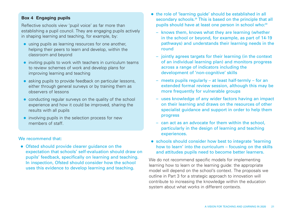#### **Box 4 Engaging pupils**

Reflective schools view 'pupil voice' as far more than establishing a pupil council. They are engaging pupils actively in shaping learning and teaching, for example, by:

- $\bullet$  using pupils as learning resources for one another, helping their peers to learn and develop, within the classroom and beyond
- $\bullet$  inviting pupils to work with teachers in curriculum teams to review schemes of work and develop plans for improving learning and teaching
- asking pupils to provide feedback on particular lessons, either through general surveys or by training them as observers of lessons
- conducting regular surveys on the quality of the school experience and how it could be improved, sharing the results with all pupils
- $\bullet$  involving pupils in the selection process for new members of staff.

#### We recommend that:

• Ofsted should provide clearer guidance on the expectation that schools' self-evaluation should draw on pupils' feedback, specifically on learning and teaching. In inspection, Ofsted should consider how the school uses this evidence to develop learning and teaching.

- the role of 'learning quide' should be established in all secondary schools.<sup>29</sup> This is based on the principle that all pupils should have at least one person in school who:<sup>30</sup>
	- knows them, knows what they are learning (whether in the school or beyond, for example, as part of 14-19 pathways) and understands their learning needs in the round
	- jointly agrees targets for their learning (in the context of an individual learning plan) and monitors progress across a range of indicators including the development of 'non-cognitive' skills
	- meets pupils regularly at least half-termly for an extended formal review session, although this may be more frequently for vulnerable groups
	- uses knowledge of any wider factors having an impact on their learning and draws on the resources of other specialist guidance and support in order to help them progress
	- can act as an advocate for them within the school, particularly in the design of learning and teaching experiences.
- schools should consider how best to integrate 'learning how to learn' into the curriculum – focusing on the skills and attitudes pupils need to become better learners.

We do not recommend specific models for implementing learning how to learn or the learning guide: the appropriate model will depend on the school's context. The proposals we outline in Part 3 for a strategic approach to innovation will contribute to increasing the knowledge within the education system about what works in different contexts.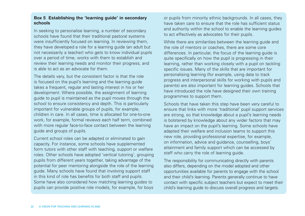#### **Box 5 Establishing the 'learning guide' in secondary schools**

In seeking to personalise learning, a number of secondary schools have found that their traditional pastoral systems were insufficiently focused on learning. In reviewing them, they have developed a role for a learning guide (an adult but not necessarily a teacher) who gets to know individual pupils over a period of time, works with them to establish and review their learning needs and monitor their progress, and is able to act as an advocate for them.

The details vary, but the consistent factor is that the role is focused on the pupil's learning and the learning guide takes a frequent, regular and lasting interest in his or her development. Where possible, the assignment of learning guide to pupil is maintained as the pupil moves through the school to ensure consistency and depth. This is particularly important for vulnerable groups of pupils, for example, children in care. In all cases, time is allocated for one-to-one work, for example, formal reviews each half term, combined with more regular face-to-face contact between the learning guide and groups of pupils.

Current school roles can be adapted or eliminated to gain capacity. For instance, some schools have supplemented form tutors with other staff with teaching, support or welfare roles. Other schools have adopted 'vertical tutoring', grouping pupils from different years together, taking advantage of the potential for peer mentoring alongside the role of the learning guide. Many schools have found that involving support staff in this kind of role has benefits for both staff and pupils. Some have also considered how matching learning guides to pupils can provide positive role models, for example, for boys or pupils from minority ethnic backgrounds. In all cases, they have taken care to ensure that the role has sufficient status and authority within the school to enable the learning guides to act effectively as advocates for their pupils.

While there are similarities between the learning guide and the role of mentors or coaches, there are some core differences. In particular, the focus of the learning guide is quite specifically on how the pupil is progressing in their learning, rather than working closely with a pupil on tackling specific issues. Many of the skills that are important for personalising learning (for example, using data to track progress and interpersonal skills for working with pupils and parents) are also important for learning guides. Schools that have introduced the role have designed their own training programmes to support them.

Schools that have taken this step have been very careful to ensure that links with more 'traditional' pupil support services are strong, so that knowledge about a pupil's learning needs is bolstered by knowledge about any wider factors that may have an impact on the pupil's learning. Some schools have adapted their welfare and inclusion teams to support this new role, providing professional expertise, for example, on information, advice and guidance, counselling, boys' attainment and family support which can be accessed by staff who carry the role of learning guide.

The responsibility for communicating directly with parents also differs, depending on the model adopted and other opportunities available for parents to engage with the school and their child's learning. Parents generally continue to have contact with specific subject teachers but expect to meet their child's learning guide to discuss overall progress and targets.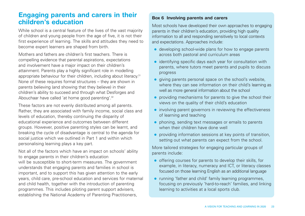## **Engaging parents and carers in their children's education**

While school is a central feature of the lives of the vast majority of children and young people from the age of five, it is not their first experience of learning. The skills and attitudes they need to become expert learners are shaped from birth.

Mothers and fathers are children's first teachers. There is compelling evidence that parental aspirations, expectations and involvement have a major impact on their children's attainment. Parents play a highly significant role in modelling appropriate behaviour for their children, including about literacy.<sup>31</sup> None of these requires formal structures – they are shown in parents believing (and showing that they believe) in their children's ability to succeed and through what Desforges and Abouchaar have called 'at home good parenting'.<sup>32</sup>

These factors are not evenly distributed among all parents. Rather, they are associated with family income, social class and levels of education, thereby continuing the disparity of educational experience and outcomes between different groups. However, positive parenting styles can be learnt, and breaking the cycle of disadvantage is central to the agenda for social justice which we outlined in Part 1 and within which personalising learning plays a key part.

Not all of the factors which have an impact on schools' ability to engage parents in their children's education will be susceptible to short-term measures. The government understands that engaging parents and families in school is important, and to support this has given attention to the early years, child care, pre-school education and services for maternal and child health, together with the introduction of parenting programmes. This includes piloting parent support advisers, establishing the National Academy of Parenting Practitioners,

#### **Box 6 Involving parents and carers**

Most schools have developed their own approaches to engaging parents in their children's education, providing high quality information to all and responding sensitively to local contexts and expectations. Approaches include:

- **•** developing school-wide plans for how to engage parents across both pastoral and curriculum areas
- **identifying specific days each year for consultation with** parents, where tutors meet parents and pupils to discuss progress
- **.** giving parents personal space on the school's website, where they can see information on their child's learning as well as more general information about the school
- **•** providing mechanisms for parents to give the school their views on the quality of their child's education
- $\bullet$  involving parent governors in reviewing the effectiveness of learning and teaching
- **•** phoning, sending text messages or emails to parents when their children have done well
- **•** providing information sessions at key points of transition, setting out what parents can expect from the school.

More tailored strategies for engaging particular groups of parents include:

- **•** offering courses for parents to develop their skills, for example, in literacy, numeracy and ICT, or literacy classes focused on those learning English as an additional language
- **•** running 'father and child' family learning programmes, focusing on previously 'hard-to-reach' families, and linking learning to activities at a local sports club.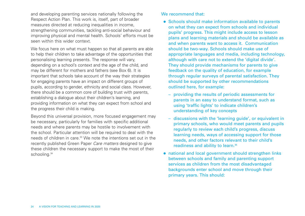and developing parenting services nationally following the Respect Action Plan. This work is, itself, part of broader measures directed at reducing inequalities in income, strengthening communities, tackling anti-social behaviour and improving physical and mental health. Schools' efforts must be seen within this wider context.

We focus here on what must happen so that all parents are able to help their children to take advantage of the opportunities that personalising learning presents. The response will vary, depending on a school's context and the age of the child, and may be different for mothers and fathers (see Box 6). It is important that schools take account of the way their strategies for engaging parents have an impact on different groups of pupils, according to gender, ethnicity and social class. However, there should be a common core of building trust with parents, establishing a dialogue about their children's learning, and providing information on what they can expect from school and the progress their child is making.

Beyond this universal provision, more focused engagement may be necessary, particularly for families with specific additional needs and where parents may be hostile to involvement with the school. Particular attention will be required to deal with the needs of children in care.<sup>33</sup> We note the intentions set out in the recently published Green Paper *Care matters* designed to give these children the necessary support to make the most of their schooling.<sup>34</sup>

- Schools should make information available to parents on what they can expect from schools and individual pupils' progress. This might include access to lesson plans and learning materials and should be available as and when parents want to access it. Communication should be two-way. Schools should make use of appropriate languages and media, including technology, although with care not to extend the 'digital divide'. They should provide mechanisms for parents to give feedback on the quality of education, for example through regular surveys of parental satisfaction. They should be supported by other recommendations outlined here, for example:
	- providing the results of periodic assessments for parents in an easy to understand format, such as using 'traffic lights' to indicate children's understanding of key concepts
	- discussions with the 'learning guide', or equivalent in primary schools, who would meet parents and pupils regularly to review each child's progress, discuss learning needs, ways of accessing support for those needs, and other factors relevant to their child's readiness and ability to learn.<sup>35</sup>
- national and local government should strengthen links between schools and family and parenting support services as children from the most disadvantaged backgrounds enter school and move through their primary years. This should: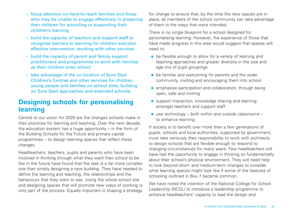- focus attention on hard-to-reach families and those who may be unable to engage effectively in preparing their children for schooling or supporting their children's learning
- build the capacity of teachers and support staff to recognise barriers to learning for children and plan effective intervention, working with other services
- build the capacity of parent and family support practitioners and programmes to work with families as their children enter school
- take advantage of the co-location of Sure Start Children's Centres and other services for children, young people and families on school sites, building on Sure Start approaches and extended schools.

## **Designing schools for personalising learning**

Central to our vision for 2020 are the changes schools make in their practices for learning and teaching. Over the next decade, the education system has a huge opportunity – in the form of the Building Schools for the Future and primary capital programmes – to design learning spaces that reflect these changes.

Headteachers, teachers, pupils and parents who have been involved in thinking through what they want their school to be like in the future have found that the task is a far more complex one than simply designing a new building. They have needed to define the learning and teaching, the relationships and the behaviours that they want to see. Using the whole school site and designing spaces that will promote new ways of working is only part of the process. Equally important is shaping a strategy

for change to ensure that, by the time the new spaces are in place, all members of the school community can take advantage of them in the ways that were intended.

There is no single blueprint for a school designed for personalising learning. However, the experience of those that have made progress in this area would suggest that spaces will need to:

- $\bullet$  be flexible enough to allow for a variety of learning and teaching approaches and greater diversity in the size and age mix of pupil groupings
- $\bullet$  be familiar and welcoming for parents and the wider community, inviting and encouraging them into school
- **•** emphasise participation and collaboration, through being open, safe and inviting
- **•** support interaction, knowledge sharing and learning amongst teachers and support staff
- $\bullet$  use technology both within and outside classrooms to enhance learning.

If society is to benefit over more than a few generations of pupils, schools and local authorities, supported by government, must take seriously their responsibility to work with architects to design schools that are flexible enough to respond to changing circumstances for many years. Few headteachers will have had the opportunity to engage in thinking so fundamentally about their school's physical environment. They will need help to look beyond short- and medium-term changes to consider what learning spaces might look like if some of the features of schooling outlined in Box 7 became common.

We have noted the intention of the National College for School Leadership (NCSL) to introduce a leadership programme to enhance headteachers' capacity to lead the design and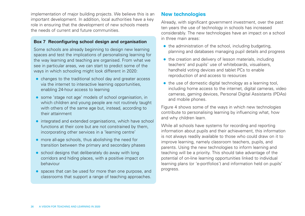implementation of major building projects. We believe this is an important development. In addition, local authorities have a key role in ensuring that the development of new schools meets the needs of current and future communities.

#### **Box 7 Reconfiguring school design and organisation**

Some schools are already beginning to design new learning spaces and test the implications of personalising learning for the way learning and teaching are organised. From what we see in particular areas, we can start to predict some of the ways in which schooling might look different in 2020:

- $\bullet$  changes to the traditional school day and greater access via the internet to interactive learning opportunities, enabling 24-hour access to learning
- **.** some 'stage not age' models of school organisation, in which children and young people are not routinely taught with others of the same age but, instead, according to their attainment
- $\bullet$  integrated and extended organisations, which have school functions at their core but are not constrained by them, incorporating other services in a 'learning centre'
- $\bullet$  more all-age schools, thus abolishing the need for transition between the primary and secondary phases
- $\bullet$  school designs that deliberately do away with long corridors and hiding places, with a positive impact on behaviour
- **.** spaces that can be used for more than one purpose, and classrooms that support a range of teaching approaches.

#### **New technologies**

Already, with significant government investment, over the past ten years the use of technology in schools has increased considerably. The new technologies have an impact on a school in three main areas:

- $\bullet$  the administration of the school, including budgeting, planning and databases managing pupil details and progress
- $\bullet$  the creation and delivery of lesson materials, including teachers' and pupils' use of whiteboards, visualisers, handheld voting devices and tablet PCs to enable reproduction of and access to resources
- $\bullet$  the use of domestic digital technology as a learning tool, including home access to the internet, digital cameras, video cameras, gaming devices, Personal Digital Assistants (PDAs) and mobile phones.

Figure 4 shows some of the ways in which new technologies contribute to personalising learning by influencing what, how and why children learn.

While all schools have systems for recording and reporting information about pupils and their achievement, this information is not always readily available to those who could draw on it to improve learning, namely classroom teachers, pupils, and parents. Using the new technologies to inform learning and teaching will be a priority. This should take advantage of the potential of on-line learning opportunities linked to individual learning plans (or 'e-portfolios') and information held on pupils' progress.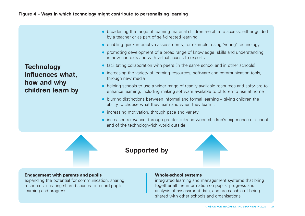**Technology influences what, how and why children learn by**

- broadening the range of learning material children are able to access, either guided by a teacher or as part of self-directed learning
- **•** enabling quick interactive assessments, for example, using 'voting' technology
- **•** promoting development of a broad range of knowledge, skills and understanding, in new contexts and with virtual access to experts
- $\bullet$  facilitating collaboration with peers (in the same school and in other schools)
- **.** increasing the variety of learning resources, software and communication tools, through new media
- helping schools to use a wider range of readily available resources and software to enhance learning, including making software available to children to use at home
- $\bullet$  blurring distinctions between informal and formal learning giving children the ability to choose what they learn and when they learn it
- $\bullet$  increasing motivation, through pace and variety
- **•** increased relevance, through greater links between children's experience of school and of the technology-rich world outside.

## **Supported by**

#### **Engagement with parents and pupils**

expanding the potential for communication, sharing resources, creating shared spaces to record pupils' learning and progress

#### **Whole-school systems**

integrated learning and management systems that bring together all the information on pupils' progress and analysis of assessment data, and are capable of being shared with other schools and organisations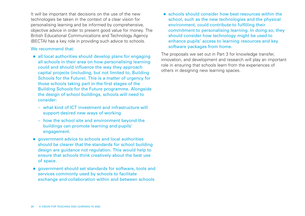It will be important that decisions on the use of the new technologies be taken in the context of a clear vision for personalising learning and be informed by comprehensive, objective advice in order to present good value for money. The British Educational Communications and Technology Agency (BECTA) has a key role in providing such advice to schools.

#### We recommend that:

- $\bullet$  all local authorities should develop plans for engaging all schools in their area on how personalising learning could and should influence the way they approach capital projects (including, but not limited to, Building Schools for the Future). This is a matter of urgency for those schools taking part in the first stages of the Building Schools for the Future programme. Alongside the design of school buildings, schools will need to consider:
	- what kind of ICT investment and infrastructure will support desired new ways of working
	- how the school site and environment beyond the buildings can promote learning and pupils' engagement.
- **.** government advice to schools and local authorities should be clearer that the standards for school building design are guidance not regulation. This would help to ensure that schools think creatively about the best use of space.
- l government should set standards for software, tools and services commonly used by schools to facilitate exchange and collaboration within and between schools

**.** schools should consider how best resources within the school, such as the new technologies and the physical environment, could contribute to fulfilling their commitment to personalising learning. In doing so, they should consider how technology might be used to enhance pupils' access to learning resources and key software packages from home.

The proposals we set out in Part 3 for knowledge transfer, innovation, and development and research will play an important role in ensuring that schools learn from the experiences of others in designing new learning spaces.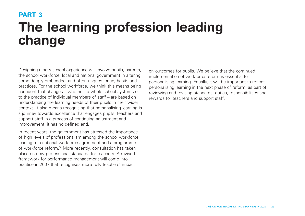## **PART 3 The learning profession leading change**

Designing a new school experience will involve pupils, parents, the school workforce, local and national government in altering some deeply embedded, and often unquestioned, habits and practices. For the school workforce, we think this means being confident that changes – whether to whole-school systems or to the practice of individual members of staff – are based on understanding the learning needs of their pupils in their wider context. It also means recognising that personalising learning is a journey towards excellence that engages pupils, teachers and support staff in a process of continuing adjustment and improvement: it has no defined end.

In recent years, the government has stressed the importance of high levels of professionalism among the school workforce, leading to a national workforce agreement and a programme of workforce reform.36 More recently, consultation has taken place on new professional standards for teachers. A revised framework for performance management will come into practice in 2007 that recognises more fully teachers' impact

on outcomes for pupils. We believe that the continued implementation of workforce reform is essential for personalising learning. Equally, it will be important to reflect personalising learning in the next phase of reform, as part of reviewing and revising standards, duties, responsibilities and rewards for teachers and support staff.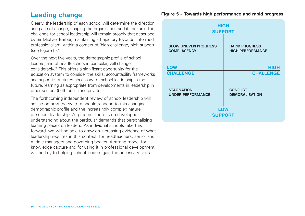## **Leading change**

Clearly, the leadership of each school will determine the direction and pace of change, shaping the organisation and its culture. The challenge for school leadership will remain broadly that described by Sir Michael Barber, maintaining a trajectory towards 'informed professionalism' within a context of 'high challenge, high support' (see Figure 5).<sup>37</sup>

Over the next five years, the demographic profile of school leaders, and of headteachers in particular, will change considerably.38 This offers a significant opportunity for the education system to consider the skills, accountability frameworks and support structures necessary for school leadership in the future, learning as appropriate from developments in leadership in other sectors (both public and private).

The forthcoming independent review of school leadership will advise on how the system should respond to this changing demographic profile and the increasingly complex nature of school leadership. At present, there is no developed understanding about the particular demands that personalising learning places on leaders. As individual schools take this forward, we will be able to draw on increasing evidence of what leadership requires in this context: for headteachers, senior and middle managers and governing bodies. A strong model for knowledge capture and for using it in professional development will be key to helping school leaders gain the necessary skills.

**Figure 5 – Towards high performance and rapid progress**

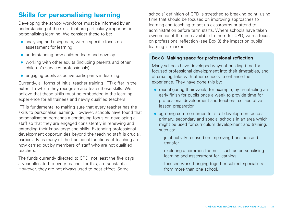## **Skills for personalising learning**

Developing the school workforce must be informed by an understanding of the skills that are particularly important in personalising learning. We consider these to be:

- $\bullet$  analysing and using data, with a specific focus on assessment for learning
- $\bullet$  understanding how children learn and develop
- $\bullet$  working with other adults (including parents and other children's services professionals)
- $\bullet$  engaging pupils as active participants in learning.

Currently, all forms of initial teacher training (ITT) differ in the extent to which they recognise and teach these skills. We believe that these skills must be embedded in the learning experience for all trainees and newly qualified teachers.

ITT is fundamental to making sure that every teacher has the skills to personalise learning. However, schools have found that personalisation demands a continuing focus on developing all staff so that they are engaged consistently in renewing and extending their knowledge and skills. Extending professional development opportunities beyond the teaching staff is crucial, particularly as many of the traditional functions of teaching are now carried out by members of staff who are not qualified teachers.

The funds currently directed to CPD, not least the five days a year allocated to every teacher for this, are substantial. However, they are not always used to best effect. Some

schools' definition of CPD is stretched to breaking point, using time that should be focused on improving approaches to learning and teaching to set up classrooms or attend to administration before term starts. Where schools have taken ownership of the time available to them for CPD, with a focus on professional reflection (see Box 8) the impact on pupils' learning is marked.

#### **Box 8 Making space for professional reflection**

Many schools have developed ways of building time for focused professional development into their timetables, and of creating links with other schools to enhance the experience. They have done this by:

- $\bullet$  reconfiguring their week, for example, by timetabling an early finish for pupils once a week to provide time for professional development and teachers' collaborative lesson preparation
- agreeing common times for staff development across primary, secondary and special schools in an area which might be used for curriculum development and training, such as:
	- joint activity focused on improving transition and transfer
	- exploring a common theme such as personalising learning and assessment for learning
	- focused work, bringing together subject specialists from more than one school.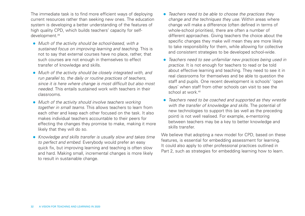The immediate task is to find more efficient ways of deploying current resources rather than seeking new ones. The education system is developing a better understanding of the features of high quality CPD, which builds teachers' capacity for selfdevelopment.39

- l *Much of the activity should be school-based, with a sustained focus on improving learning and teaching*. This is not to say that external courses have no place, rather, that such courses are not enough in themselves to effect transfer of knowledge and skills.
- **•** Much of the activity should be closely integrated with, and *run parallel to, the daily or routine practices of teachers, since it is here where change is most difficult but also most needed*. This entails sustained work with teachers in their classrooms.
- **•** Much of the activity should involve teachers working *together in small teams.* This allows teachers to learn from each other and keep each other focused on the task. It also makes individual teachers accountable to their peers for effecting the changes they promise to make, making it more likely that they will do so.
- l *Knowledge and skills transfer is usually slow and takes time to perfect and embed*. Everybody would prefer an easy quick fix, but improving learning and teaching is often slow and hard. Making small, incremental changes is more likely to result in sustainable change.
- l *Teachers need to be able to choose the practices they change and the techniques they use*. Within areas where change will make a difference (often defined in terms of whole-school priorities), there are often a number of different approaches. Giving teachers the choice about the specific changes they make will mean they are more likely to take responsibility for them, while allowing for collective and consistent strategies to be developed school-wide.
- **•** Teachers need to see unfamiliar new practices being used in *practice*. It is not enough for teachers to read or be told about effective learning and teaching. They need to see it in real classrooms for themselves and be able to question the staff and pupils. One recent development is schools' 'open days' when staff from other schools can visit to see the school at work $40$
- l *Teachers need to be coached and supported as they wrestle with the transfer of knowledge and skills.* The potential of new technologies to support this (as well as the preceding point) is not well realised. For example, e-mentoring between teachers may be a key to better knowledge and skills transfer.

We believe that adopting a new model for CPD, based on these features, is essential for embedding assessment for learning. It could also apply to other professional practices outlined in Part 2, such as strategies for embedding learning how to learn.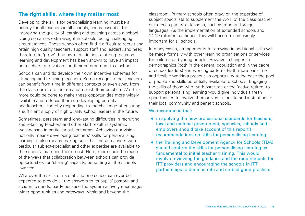#### **The right skills, where they matter most**

Developing the skills for personalising learning must be a priority for all teachers in all schools, and is essential for improving the quality of learning and teaching across a school. Doing so carries extra weight in schools facing challenging circumstances. These schools often find it difficult to recruit and retain high quality teachers, support staff and leaders, and need therefore to 'grow' their own. In addition, a strong focus on learning and development has been shown to have an impact on teachers' motivation and their commitment to a school.41

Schools can and do develop their own incentive schemes for attracting and retaining teachers. Some recognise that teachers can benefit from time in different contexts or even away from the classroom to reflect on and refresh their practice. We think more could be done to make these opportunities more widely available and to focus them on developing potential headteachers, thereby responding to the challenge of ensuring a sufficient supply of high quality school leaders in the future.

Sometimes, persistent and long-lasting difficulties in recruiting and retaining teachers and other staff result in systemic weaknesses in particular subject areas. Achieving our vision not only means developing teachers' skills for personalising learning, it also means making sure that those teachers with particular subject-specialist and other expertise are available to the schools that need them most. Here, more could be made of the ways that collaboration between schools can provide opportunities for 'sharing' capacity, benefiting all the schools involved.

Whatever the skills of its staff, no one school can ever be expected to provide all the answers to its pupils' pastoral and academic needs, partly because the system actively encourages wider opportunities and pathways within and beyond the

classroom. Primary schools often draw on the expertise of subject specialists to supplement the work of the class teacher or to teach particular lessons, such as modern foreign languages. As the implementation of extended schools and 14-19 reforms continues, this will become increasingly important for all schools.

In many cases, arrangements for drawing in additional skills will be made formally with other learning organisations or services for children and young people. However, changes in demographics (both in the general population and in the cadre of school leaders) and working patterns (with more part-time and flexible working) present an opportunity to increase the pool of people and skills potentially available to schools. Engaging the skills of those who work part-time or the 'active retired' to support personalising learning would give individuals fresh opportunities to involve themselves in the life and institutions of their local community and benefit schools.

- $\bullet$  in applying the new professional standards for teachers, local and national government, agencies, schools and employers should take account of this report's recommendations on skills for personalising learning
- the Training and Development Agency for Schools (TDA) should confirm the skills for personalising learning as fundamental to initial teacher training. This would involve reviewing the guidance and the requirements for ITT providers and encouraging the schools in ITT partnerships to demonstrate and embed good practice.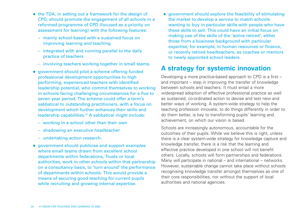- $\bullet$  the TDA, in setting out a framework for the design of CPD, should promote the engagement of all schools in a reformed programme of CPD (focused as a priority on assessment for learning) with the following features:
	- mainly school-based with a sustained focus on improving learning and teaching
	- integrated with and running parallel to the daily practice of teachers
	- involving teachers working together in small teams.
- government should pilot a scheme offering funded professional development opportunities to high performing, experienced teachers with identified leadership potential, who commit themselves to working in schools facing challenging circumstances for a five to seven year period. The scheme could offer a term's sabbatical to outstanding practitioners, with a focus on development which further enhances their skills and leadership capabilities.<sup>42</sup> A sabbatical might include:
	- working in a school other than their own
	- shadowing an executive headteacher
	- undertaking action research.
- government should publicise and support examples where small teams drawn from excellent school departments within federations, Trusts or local authorities, work in other schools within that partnership on a consultancy basis, to 'turn around' the performance of departments within schools. This would provide a means of securing good teaching for current pupils while recruiting and growing internal expertise.

l government should explore the feasibility of stimulating the market to develop a service to match schools wanting to buy in particular skills with people who have these skills to sell. This could have an initial focus on making use of the skills of the 'active retired', either those from a business background with particular expertise, for example, in human resources or finance, or recently retired headteachers, as coaches or mentors to newly appointed school leaders.

## **A strategy for systemic innovation**

Developing a more practice-based approach to CPD is a first – and important – step in improving the transfer of knowledge between schools and teachers. It must entail a more widespread adoption of effective professional practice as well as sustained, co-ordinated action to devise and test new and better ways of working. A system-wide strategy to help the teaching profession innovate, to do things differently in order to do them better, is key to transforming pupils' learning and achievement, on which our vision is based.

Schools are increasingly autonomous, accountable for the outcomes of their pupils. While we believe this is right, unless there is a clear system-wide strategy for knowledge capture and knowledge transfer, there is a risk that the learning and effective practice developed in one school will not benefit others. Locally, schools will form partnerships and federations. Many will participate in national – and international – networks. However, sustainable change cannot take place without schools recognising knowledge transfer amongst themselves as one of their core responsibilities, nor without the support of local authorities and national agencies.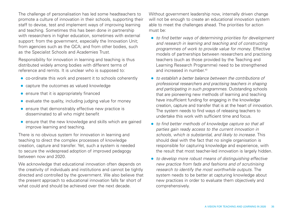The challenge of personalisation has led some headteachers to promote a culture of innovation in their schools, supporting their staff to devise, test and implement ways of improving learning and teaching. Sometimes this has been done in partnership with researchers in higher education, sometimes with external support: from the government, especially the Innovation Unit; from agencies such as the QCA; and from other bodies, such as the Specialist Schools and Academies Trust.

Responsibility for innovation in learning and teaching is thus distributed widely among bodies with different terms of reference and remits. It is unclear who is supposed to:

- co-ordinate this work and present it to schools coherently
- $\bullet$  capture the outcomes as valued knowledge
- $\bullet$  ensure that it is appropriately financed
- $\bullet$  evaluate the quality, including judging value for money
- $\bullet$  ensure that demonstrably effective new practice is disseminated to all who might benefit
- $\bullet$  ensure that the new knowledge and skills which are gained improve learning and teaching.

There is no obvious system for innovation in learning and teaching to direct the complex processes of knowledge creation, capture and transfer. Yet, such a system is needed to secure the widespread adoption of improved pedagogy between now and 2020.

We acknowledge that educational innovation often depends on the creativity of individuals and institutions and cannot be tightly directed and controlled by the government. We also believe that the present approach to educational innovation falls far short of what could and should be achieved over the next decade.

Without government leadership now, internally driven change will not be enough to create an educational innovation system able to meet the challenges ahead. The priorities for action must be:

- **•** to find better ways of determining priorities for development *and research in learning and teaching and of constructing programmes of work to provide value for money*. Effective models of partnerships between researchers and practising teachers (such as those provided by the Teaching and Learning Research Programme) need to be strengthened and increased in number<sup>43</sup>
- l *to establish a better balance between the contributions of professional researchers and practising teachers in shaping and participating in such programmes.* Outstanding schools that are pioneering new methods of learning and teaching have insufficient funding for engaging in the knowledge creation, capture and transfer that is at the heart of innovation. The system needs to find ways of releasing teachers to undertake this work with sufficient time and focus.
- **•** to find better methods of knowledge capture so that all *parties gain ready access to the current innovation in schools, which is substantial, and likely to increase.* This should deal with the fact that no single organisation is responsible for capturing knowledge and experience, with the result that most teacher-led innovation is largely hidden.
- **•** to develop more robust means of distinguishing effective *new practice from fads and fashions and of scrutinising research to identify the most worthwhile outputs.* The system needs to be better at capturing knowledge about new practices in order to evaluate them objectively and comprehensively.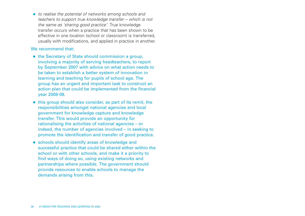l *to realise the potential of networks among schools and teachers to support true knowledge transfer – which is not the same as 'sharing good practice'*. True knowledge transfer occurs when a practice that has been shown to be effective in one location (school or classroom) is transferred, usually with modifications, and applied in practice in another.

- the Secretary of State should commission a group, involving a majority of serving headteachers, to report by September 2007 with advice on what action needs to be taken to establish a better system of innovation in learning and teaching for pupils of school age. The group has an urgent and important task to construct an action plan that could be implemented from the financial year 2008-09.
- $\bullet$  this group should also consider, as part of its remit, the responsibilities amongst national agencies and local government for knowledge capture and knowledge transfer. This would provide an opportunity for rationalising the activities of national agencies – or indeed, the number of agencies involved – in seeking to promote the identification and transfer of good practice.
- schools should identify areas of knowledge and successful practice that could be shared either within the school or with other schools, and make it a priority to find ways of doing so, using existing networks and partnerships where possible. The government should provide resources to enable schools to manage the demands arising from this.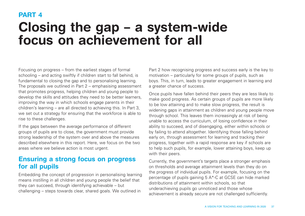### **PART 4**

## **Closing the gap – a system-wide focus on achievement for all**

Focusing on progress – from the earliest stages of formal schooling – and acting swiftly if children start to fall behind, is fundamental to closing the gap and to personalising learning. The proposals we outlined in Part 2 – emphasising assessment that promotes progress, helping children and young people to develop the skills and attitudes they need to be better learners, improving the way in which schools engage parents in their children's learning – are all directed to achieving this. In Part 3, we set out a strategy for ensuring that the workforce is able to rise to these challenges.

If the gaps between the average performance of different groups of pupils are to close, the government must provide strong leadership of the system over and above the measures described elsewhere in this report. Here, we focus on the two areas where we believe action is most urgent.

### **Ensuring a strong focus on progress for all pupils**

Embedding the concept of progression in personalising learning means instilling in all children and young people the belief that they can succeed, through identifying achievable – but challenging – steps towards clear, shared goals. We outlined in

Part 2 how recognising progress and success early is the key to motivation – particularly for some groups of pupils, such as boys. This, in turn, leads to greater engagement in learning and a greater chance of success.

Once pupils have fallen behind their peers they are less likely to make good progress. As certain groups of pupils are more likely to be low attaining and to make slow progress, the result is widening gaps in attainment as children and young people move through school. This leaves them increasingly at risk of being unable to access the curriculum, of losing confidence in their ability to succeed, and of disengaging, either within schools or by failing to attend altogether. Identifying those falling behind early on, through assessment for learning and tracking their progress, together with a rapid response are key if schools are to help such pupils, for example, lower attaining boys, keep up with their peers.

Currently, the government's targets place a stronger emphasis on thresholds and average attainment levels than they do on the progress of individual pupils. For example, focusing on the percentage of pupils gaining 5 A\*-C at GCSE can hide marked distributions of attainment within schools, so that underachieving pupils go unnoticed and those whose achievement is already secure are not challenged sufficiently.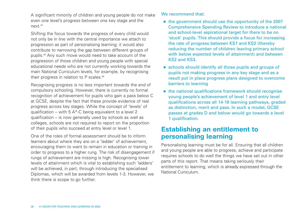A significant minority of children and young people do not make even one level's progress between one key stage and the next<sup>44</sup>

Shifting the focus towards the progress of every child would not only be in line with the central importance we attach to progression as part of personalising learning; it would also contribute to narrowing the gap between different groups of pupils.45 Any such move would need to take account of the progression of those children and young people with special educational needs who are not currently working towards the main National Curriculum levels, for example, by recognising their progress in relation to P scales.<sup>46</sup>

Recognising progress is no less important towards the end of compulsory schooling. However, there is currently no formal recognition of achievement for pupils who gain a pass below C at GCSE, despite the fact that these provide evidence of real progress across key stages. While the concept of 'levels' of qualification – with  $5 A^*$ -C being equivalent to a level 2 qualification – is now generally used by schools as well as colleges, schools are not required to report on the proportion of their pupils who succeed at entry level or level 1.

One of the roles of formal assessment should be to inform learners about where they are on a 'ladder' of achievement, encouraging them to want to remain in education or training in order to progress to a higher rung. The risk of disengagement if rungs of achievement are missing is high. Recognising lower levels of attainment which is vital to establishing such 'ladders' will be achieved, in part, through introducing the specialised Diplomas, which will be awarded from levels 1-3. However, we think there is scope to go further.

#### We recommend that:

- $\bullet$  the government should use the opportunity of the 2007 Comprehensive Spending Review to introduce a national and school-level aspirational target for there to be no 'stuck' pupils. This should provide a focus for increasing the rate of progress between KS1 and KS2 (thereby reducing the number of children leaving primary school with below expected levels of attainment) and between KS2 and KS3.
- schools should identify all those pupils and groups of pupils not making progress in any key stage and as a result put in place progress plans designed to overcome barriers to learning
- $\bullet$  the national qualifications framework should recognise young people's achievement of level 1 and entry level qualifications across all 14-19 learning pathways, graded as distinction, merit and pass. In such a model, GCSE passes at grades D and below would go towards a level 1 qualification.

## **Establishing an entitlement to personalising learning**

Personalising learning must be for all. Ensuring that all children and young people are able to progress, achieve and participate requires schools to do well the things we have set out in other parts of this report. That means taking seriously their entitlement to learning, which is already expressed through the National Curriculum.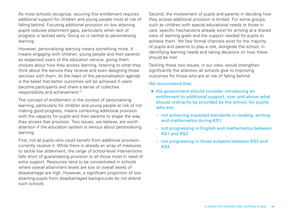As most schools recognise, securing this entitlement requires additional support for children and young people most at risk of falling behind. Focusing additional provision on low attaining pupils reduces attainment gaps, particularly when lack of progress is tackled early. Doing so is central to personalising learning.

However, personalising learning means something more. It means engaging with children, young people and their parents as respected users of the education service, giving them choices about how they access learning, listening to what they think about the service they receive and even designing those services with them. At the heart of the personalisation agenda is the belief that better outcomes will be achieved if users become participants and share a sense of collective responsibility and achievement.<sup>47</sup>

The concept of entitlement in the context of personalising learning, particularly for children and young people at risk of not making good progress, means combining additional provision with the capacity for pupils and their parents to shape the way they access that provision. Two issues, we believe, are worth attention if the education system is serious about personalising learning.

First, not all pupils who could benefit from additional provision currently receive it. While there is already an array of measures to tackle low attainment, the range of school-level interventions falls short of guaranteeing provision to all those most in need of extra support. Resources tend to be concentrated in schools where overall attainment levels are low or overall levels of disadvantage are high. However, a significant proportion of low attaining pupils from disadvantaged backgrounds do not attend such schools.

Second, the involvement of pupils and parents in deciding how they access additional provision is limited. For some groups, such as children with special educational needs or those in care, specific mechanisms already exist for arriving at a shared view of learning goals and the support needed for pupils to achieve them. Yet few formal channels exist for the majority of pupils and parents to play a role, alongside the school, in identifying learning needs and taking decisions on how these should be met.

Tackling these two issues, in our view, would strengthen significantly the attention all schools give to improving outcomes for those who are at risk of falling behind.

- $\bullet$  the government should consider introducing an entitlement to additional support, over and above what should ordinarily be provided by the school, for pupils who are:
	- not achieving expected standards in reading, writing and mathematics during KS1
	- not progressing in English and mathematics between KS1 and KS2
	- not progressing in those subjects between KS2 and KS4.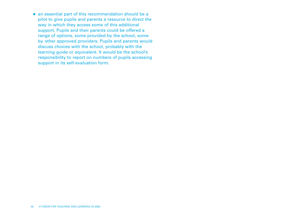• an essential part of this recommendation should be a pilot to give pupils and parents a resource to direct the way in which they access some of this additional support. Pupils and their parents could be offered a range of options, some provided by the school, some by other approved providers. Pupils and parents would discuss choices with the school, probably with the learning guide or equivalent. It would be the school's responsibility to report on numbers of pupils accessing support in its self-evaluation form.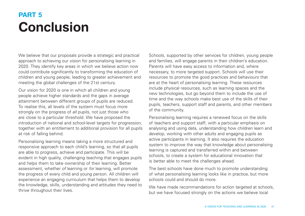## **PART 5 Conclusion**

We believe that our proposals provide a strategic and practical approach to achieving our vision for personalising learning in 2020. They identify key areas in which we believe action now could contribute significantly to transforming the education of children and young people, leading to greater achievement and meeting the global challenges of the 21st century.

Our vision for 2020 is one in which all children and young people achieve higher standards and the gaps in average attainment between different groups of pupils are reduced. To realise this, all levels of the system must focus more strongly on the progress of *all* pupils, not just those who are close to a particular threshold. We have proposed the introduction of national and school-level targets for progression, together with an entitlement to additional provision for all pupils at risk of falling behind.

Personalising learning means taking a more structured and responsive approach to each child's learning, so that all pupils are able to progress, achieve and participate. This will be evident in high quality, challenging teaching that engages pupils and helps them to take ownership of their learning. Better assessment, whether *of* learning or *for* learning, will promote the progress of every child and young person. All children will experience an engaging curriculum that helps them to develop the knowledge, skills, understanding and attitudes they need to thrive throughout their lives.

Schools, supported by other services for children, young people and families, will engage parents in their children's education. Parents will have easy access to information and, where necessary, to more targeted support. Schools will use their resources to promote the good practices and behaviours that are at the heart of personalising learning. These resources include physical resources, such as learning spaces and the new technologies, but go beyond them to include the use of time and the way schools make best use of the skills of their pupils, teachers, support staff and parents, and other members of the community.

Personalising learning requires a renewed focus on the skills of teachers and support staff, with a particular emphasis on analysing and using data, understanding how children learn and develop, working with other adults and engaging pupils as active participants in learning. It also requires the education system to improve the way that knowledge about personalising learning is captured and transferred within and between schools, to create a system for educational innovation that is better able to meet the challenges ahead.

The best schools have done much to promote understanding of what personalising learning looks like in practice, but more schools could and should do more.

We have made recommendations for action targeted at schools, but we have focused strongly on the actions we believe local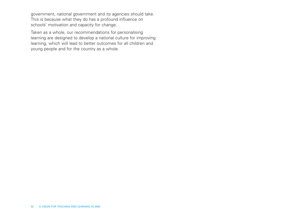government, national government and its agencies should take. This is because what they do has a profound influence on schools' motivation and capacity for change.

Taken as a whole, our recommendations for personalising learning are designed to develop a national culture for improving learning, which will lead to better outcomes for all children and young people and for the country as a whole.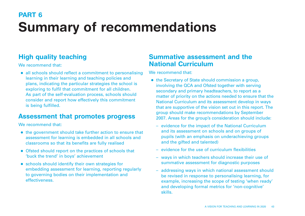## **PART 6 Summary of recommendations**

## **High quality teaching**

We recommend that:

• all schools should reflect a commitment to personalising learning in their learning and teaching policies and plans, indicating the particular strategies the school is exploring to fulfil that commitment for all children. As part of the self-evaluation process, schools should consider and report how effectively this commitment is being fulfilled.

## **Assessment that promotes progress**

We recommend that:

- the government should take further action to ensure that assessment for learning is embedded in all schools and classrooms so that its benefits are fully realised
- Ofsted should report on the practices of schools that 'buck the trend' in boys' achievement
- schools should identify their own strategies for embedding assessment for learning, reporting regularly to governing bodies on their implementation and effectiveness.

## **Summative assessment and the National Curriculum**

- the Secretary of State should commission a group, involving the QCA and Ofsted together with serving secondary and primary headteachers, to report as a matter of priority on the actions needed to ensure that the National Curriculum and its assessment develop in ways that are supportive of the vision set out in this report. The group should make recommendations by September 2007. Areas for the group's consideration should include:
	- evidence for the impact of the National Curriculum and its assessment on schools and on groups of pupils (with an emphasis on underachieving groups and the gifted and talented)
	- evidence for the use of curriculum flexibilities
	- ways in which teachers should increase their use of summative assessment for diagnostic purposes
	- addressing ways in which national assessment should be revised in response to personalising learning, for example, increasing the scope of testing 'when ready' and developing formal metrics for 'non-cognitive' skills.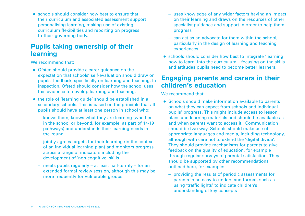$\bullet$  schools should consider how best to ensure that their curriculum and associated assessment support personalising learning, making use of existing curriculum flexibilities and reporting on progress to their governing body.

## **Pupils taking ownership of their learning**

We recommend that:

- Ofsted should provide clearer guidance on the expectation that schools' self-evaluation should draw on pupils' feedback, specifically on learning and teaching. In inspection, Ofsted should consider how the school uses this evidence to develop learning and teaching.
- the role of 'learning quide' should be established in all secondary schools. This is based on the principle that all pupils should have at least one person in school who:
	- knows them, knows what they are learning (whether in the school or beyond, for example, as part of 14-19 pathways) and understands their learning needs in the round
	- jointly agrees targets for their learning (in the context of an individual learning plan) and monitors progress across a range of indicators including the development of 'non-cognitive' skills
	- meets pupils regularly at least half-termly for an extended formal review session, although this may be more frequently for vulnerable groups
- uses knowledge of any wider factors having an impact on their learning and draws on the resources of other specialist guidance and support in order to help them progress
- can act as an advocate for them within the school, particularly in the design of learning and teaching experiences.
- schools should consider how best to integrate 'learning how to learn' into the curriculum – focusing on the skills and attitudes pupils need to become better learners.

## **Engaging parents and carers in their children's education**

- Schools should make information available to parents on what they can expect from schools and individual pupils' progress. This might include access to lesson plans and learning materials and should be available as and when parents want to access it. Communication should be two-way. Schools should make use of appropriate languages and media, including technology, although with care not to extend the 'digital divide'. They should provide mechanisms for parents to give feedback on the quality of education, for example through regular surveys of parental satisfaction. They should be supported by other recommendations outlined here, for example:
	- providing the results of periodic assessments for parents in an easy to understand format, such as using 'traffic lights' to indicate children's understanding of key concepts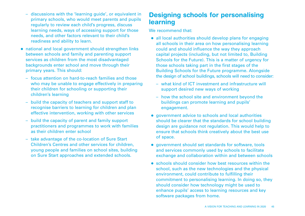- discussions with the 'learning guide', or equivalent in primary schools, who would meet parents and pupils regularly to review each child's progress, discuss learning needs, ways of accessing support for those needs, and other factors relevant to their child's readiness and ability to learn.
- national and local government should strengthen links between schools and family and parenting support services as children from the most disadvantaged backgrounds enter school and move through their primary years. This should:
	- focus attention on hard-to-reach families and those who may be unable to engage effectively in preparing their children for schooling or supporting their children's learning
	- build the capacity of teachers and support staff to recognise barriers to learning for children and plan effective intervention, working with other services
	- build the capacity of parent and family support practitioners and programmes to work with families as their children enter school
	- take advantage of the co-location of Sure Start Children's Centres and other services for children, young people and families on school sites, building on Sure Start approaches and extended schools.

## **Designing schools for personalising learning**

- all local authorities should develop plans for engaging all schools in their area on how personalising learning could and should influence the way they approach capital projects (including, but not limited to, Building Schools for the Future). This is a matter of urgency for those schools taking part in the first stages of the Building Schools for the Future programme. Alongside the design of school buildings, schools will need to consider:
	- what kind of ICT investment and infrastructure will support desired new ways of working
	- how the school site and environment beyond the buildings can promote learning and pupils' engagement.
- **.** government advice to schools and local authorities should be clearer that the standards for school building design are guidance not regulation. This would help to ensure that schools think creatively about the best use of space.
- **.** government should set standards for software, tools and services commonly used by schools to facilitate exchange and collaboration within and between schools
- schools should consider how best resources within the school, such as the new technologies and the physical environment, could contribute to fulfilling their commitment to personalising learning. In doing so, they should consider how technology might be used to enhance pupils' access to learning resources and key software packages from home.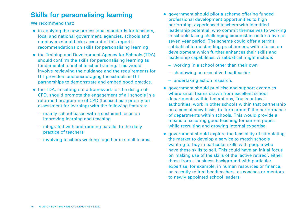## **Skills for personalising learning**

- $\bullet$  in applying the new professional standards for teachers, local and national government, agencies, schools and employers should take account of this report's recommendations on skills for personalising learning
- the Training and Development Agency for Schools (TDA) should confirm the skills for personalising learning as fundamental to initial teacher training. This would involve reviewing the guidance and the requirements for ITT providers and encouraging the schools in ITT partnerships to demonstrate and embed good practice.
- $\bullet$  the TDA, in setting out a framework for the design of CPD, should promote the engagement of all schools in a reformed programme of CPD (focused as a priority on assessment for learning) with the following features:
	- mainly school-based with a sustained focus on improving learning and teaching
	- integrated with and running parallel to the daily practice of teachers
	- involving teachers working together in small teams.
- government should pilot a scheme offering funded professional development opportunities to high performing, experienced teachers with identified leadership potential, who commit themselves to working in schools facing challenging circumstances for a five to seven year period. The scheme could offer a term's sabbatical to outstanding practitioners, with a focus on development which further enhances their skills and leadership capabilities. A sabbatical might include:
	- working in a school other than their own
- shadowing an executive headteacher
- undertaking action research.
- government should publicise and support examples where small teams drawn from excellent school departments within federations, Trusts or local authorities, work in other schools within that partnership on a consultancy basis, to 'turn around' the performance of departments within schools. This would provide a means of securing good teaching for current pupils while recruiting and growing internal expertise.
- government should explore the feasibility of stimulating the market to develop a service to match schools wanting to buy in particular skills with people who have these skills to sell. This could have an initial focus on making use of the skills of the 'active retired', either those from a business background with particular expertise, for example, in human resources or finance, or recently retired headteachers, as coaches or mentors to newly appointed school leaders.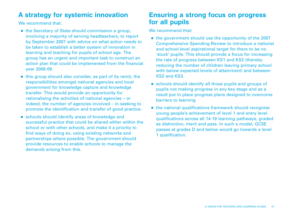## **A strategy for systemic innovation**

We recommend that:

- the Secretary of State should commission a group, involving a majority of serving headteachers, to report by September 2007 with advice on what action needs to be taken to establish a better system of innovation in learning and teaching for pupils of school age. The group has an urgent and important task to construct an action plan that could be implemented from the financial year 2008-09.
- $\bullet$  this group should also consider, as part of its remit, the responsibilities amongst national agencies and local government for knowledge capture and knowledge transfer. This would provide an opportunity for rationalising the activities of national agencies – or indeed, the number of agencies involved – in seeking to promote the identification and transfer of good practice.
- **.** schools should identify areas of knowledge and successful practice that could be shared either within the school or with other schools, and make it a priority to find ways of doing so, using existing networks and partnerships where possible. The government should provide resources to enable schools to manage the demands arising from this.

## **Ensuring a strong focus on progress for all pupils**

- $\bullet$  the government should use the opportunity of the 2007 Comprehensive Spending Review to introduce a national and school-level aspirational target for there to be no 'stuck' pupils. This should provide a focus for increasing the rate of progress between KS1 and KS2 (thereby reducing the number of children leaving primary school with below expected levels of attainment) and between KS2 and KS3.
- schools should identify all those pupils and groups of pupils not making progress in any key stage and as a result put in place progress plans designed to overcome barriers to learning
- $\bullet$  the national qualifications framework should recognise young people's achievement of level 1 and entry level qualifications across all 14-19 learning pathways, graded as distinction, merit and pass. In such a model, GCSE passes at grades D and below would go towards a level 1 qualification.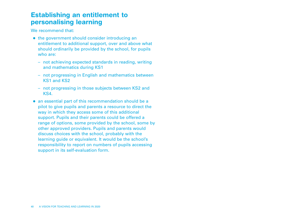## **Establishing an entitlement to personalising learning**

- $\bullet$  the government should consider introducing an entitlement to additional support, over and above what should ordinarily be provided by the school, for pupils who are:
	- not achieving expected standards in reading, writing and mathematics during KS1
	- not progressing in English and mathematics between KS1 and KS2
	- not progressing in those subjects between KS2 and KS4.
- an essential part of this recommendation should be a pilot to give pupils and parents a resource to direct the way in which they access some of this additional support. Pupils and their parents could be offered a range of options, some provided by the school, some by other approved providers. Pupils and parents would discuss choices with the school, probably with the learning guide or equivalent. It would be the school's responsibility to report on numbers of pupils accessing support in its self-evaluation form.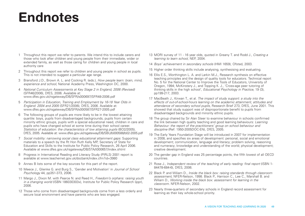## **Endnotes**

- 1 Throughout this report we refer to parents. We intend this to include carers and those who look after children and young people from their immediate, wider or extended family, as well as those caring for children and young people in local authority care
- 2 Throughout this report we refer to children and young people in school as pupils. This is not intended to suggest a particular age range.
- 3 Bransford J.D., Brown A. L. and Cocking R. (eds.), *How people learn: brain, mind, experience and school*, National Academy Press, Washington DC, 2000.
- 4 *National Curriculum Assessments at Key Stage 2 in England, 2006 (Revised)* (SFR46/2006), DfES, 2006. Available at: www.dfes.gov.uk/rsgateway/DB/SFR/s000697/SFR48-2006.pdf
- 5 *Participation in Education, Training and Employment by 16-18 Year Olds in England: 2004 and 2005* (SFR21/2006), DfES, 2006. Available at: www.dfes.gov.uk/rsgateway/DB/SFR/s000587/SFR27-2005.pdf
- 6 The following groups of pupils are more likely to be in the lowest attaining quartile: boys, pupils from disadvantaged backgrounds, pupils from certain minority ethnic groups, pupils with a special educational need, children in care and pupils who have changed school at some time during their school career. *Statistics of education: the characteristics of low attaining pupils* (BO2/2005), DfFS, 2005. Available at: www.dfes.gov.uk/rsgateway/DB/SBU/b000588/b02-2005.pdf
- 7 *Social mobility: narrowing social class educational attainment gaps:* Supporting materials to a speech by the Rt Hon Ruth Kelly MP, Secretary of State for Education and Skills to the Institute for Public Policy Research, 26 April 2006. Available at www.dfes.gov.uk/rsgateway/DB/STA/t000657/index.shtml
- 8 Progress in International Reading and Literacy Study (PIRLS) 2001 report is available at www.teachernet.gov.uk/docbank/index.cfm?id=3980
- 9 Annex B lists some of the key sources for this part of the report.
- 10 Meece J., Glienke G. and Burg S., 'Gender and Motivation' in *Journal of School Psychology* 44, pp351-373, 2006.
- 11 Margo J., Dixon M. with Pearce N. and Reed H., *Freedom's orphans: raising youth in a changing world* (ISBN 186030303x), Institute for Public Policy Research (ippr), 2006.
- 12 Those who come from disadvantaged backgrounds come from a less orderly and secure local environment and have parents who are less engaged.
- 13 MORI survey of 11 16 year olds, quoted in Greany T. and Rodd J., *Creating a learning to learn school*, NEP, 2004.
- 14 *Boys' achievement in secondary schools* (HMI 1659), Ofsted, 2003.
- 15 Higher order thinking skills include analysing, synthesising and evaluating.
- 16 Ellis E.S., Worthington L. A. and Larkin M.J., Research synthesis on effective teaching principles and the design of quality tools for educators. Technical report No. 5 for the National Center to Improve the Tools of Educators, University of Oregon, 1994; McKinstery J., and Topping K. J., 'Cross-age peer tutoring of thinking skills in the high school', *Educational Psychology in Practice*, 19 (3), pp199-217, 2003.
- 17 MacBeath J., Kirwan T., et al. *The impact of study support: a study into the effects of out-of-school-hours learning on the academic attainment, attitudes and attendance of secondary school pupils*, Research Brief 273, DfES, June 2001. This showed that study support was of disproportionate benefit to pupils from disadvantaged backgrounds and minority ethnic pupils.
- 18 The group chaired by Sir Alan Steer to examine behaviour in schools confirmed the link between high quality teaching and good learning behaviours: *Learning Behaviour: the report of the practitioners' group on school behaviour and discipline* (Ref: 1950-2005DOC-EN), DfES, 2005.
- 19 The Early Years Foundation Stage will be introduced in 2007 for implementation in 2008, and specifies six areas of development: personal, social and emotional development; communication, language and literacy; problem solving, reasoning and numeracy; knowledge and understanding of the world; physical development; creative development.
- 20 The gender gap in England was 25 percentage points, the fifth lowest of all OECD countries.
- 21 Rose J., *Independent review of the teaching of early reading: final report* (ISBN 1- 84478-684-6), DfES, 2006.
- 22 Black P. and Wiliam D., *Inside the black box: raising standards through classroom assessment*, NFER-Nelson, 1998. Black P., Harrison C., Lee C., Marshall B. and Wiliam D., *Working inside the black box: assessment for learning in the classroom*. NFER-Nelson, 2002.
- 23 Nearly three-quarters of secondary schools in England record assessment for learning as their key whole-school priority.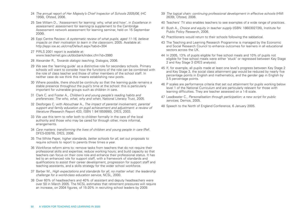- 24 *The annual report of Her Majesty's Chief Inspector of Schools 2005/06*, (HC 1956), Ofsted, 2006.
- 25 See Wiliam D., 'Assessment for learning: why, what and how', in *Excellence in assessment: assessment for learning* (a supplement to the Cambridge Assessment network assessment for learning seminar, held on 15 September 2006).
- 26 Eppi Centre Review: *A systematic review of what pupils, aged 11-16, believe impacts on their motivation to learn in the classroom*, 2005. Available at: http://eppi.ioe.ac.uk/cms/Default.aspx?tabid=304
- 27 PIRLS 2001 report is available at: www.teachernet.gov.uk/docbank/index.cfm?id=3980
- 28 Alexander R., *Towards dialogic teaching*, Dialogos, 2006.
- 29 We see the 'learning guide' as a distinctive role for secondary schools. Primary schools will want to consider how the functions of the role can be combined with the role of class teacher and those of other members of the school staff. In neither case do we think this means establishing new posts.
- 30 Where possible, there should be continuity so that the learning guide remains a stable presence throughout the pupil's time at the school: this is particularly important for vulnerable groups such as children in care.
- 31 Clark C. and Foster A., *Children's and young people's reading habits and preferences: The who, what, why and when*, National Literacy Trust, 2005.
- 32 Desforges C. with Abouchaar A., *The impact of parental involvement, parental support and family education on pupil achievement and adjustment: a review of literature* (Research Report 433; ISBN 1 841859990), DfES, 2003.
- 33 We use this term to refer both to children formally in the care of the local authority and those who may be cared for through other, more informal, arrangements.
- 34 *Care matters: transforming the lives of children and young people in care* (Ref. DFES-03978), DfES, 2006.
- 35 The White Paper, *higher standards, better schools for all*, set out proposals to require schools to report to parents three times a year.
- 36 Workforce reform aims to: remove tasks from teachers that do not require their professional skills and expertise; reduce working hours; and build capacity so that teachers can focus on their core role and enhance their professional status. It has led to an enhanced role for support staff, with a framework of standards and qualifications to assist their career development, progression for support staff and teaching assistants, and a skills strategy for the wider school workforce.
- 37 Barber M., *High expectations and standards for all, no matter what: the leadership challenge for a world-class education service*, NCSL, 2000.
- 38 Over 60% of headteachers and 40% of assistant and deputy headteachers were over 50 in March 2005. The NCSL estimates that retirement pressures will require an increase, on 2004 figures, of 15-20% in recruiting school leaders by 2009.
- 39 *The logical chain: continuing professional development in effective schools* (HMI 2639), Ofsted, 2006.
- 40 Teachers' TV also enables teachers to see examples of a wide range of practices.
- 41 Bush A., *Choice and equity in teacher supply* (ISBN: 1860302726), Institute for Public Policy Research, 2006.
- 42 Practitioners would return to their schools following the sabbatical.
- 43 The Teaching and Learning Research Programme is managed by the Economic and Social Research Council to enhance outcomes for learners in all educational sectors across the UK.
- 44 In 2005, 13% of pupils eligible for free school meals and 10% of pupils not eligible for free school meals were either 'stuck' or regressed between Key Stage 2 and Key Stage 3 (DfES analysis).
- 45 If, for example, all pupils made at least one level's progress between Key Stage 2 and Key Stage 3, the social class attainment gap would be reduced by nearly five percentage points in English and mathematics, and the gender gap in English by 3.5 percentage points.
- 46 P scales are performance criteria that set out attainment for pupils working below level 1 of the National Curriculum and are particularly relevant for those with learning difficulties. They are teacher assessed on a 1-8 scale.
- 47 Leadbeater C., *Personalisation through participation: a new script for public services*, Demos, 2005.
- 48 Speech to the North of England Conference, 6 January 2005.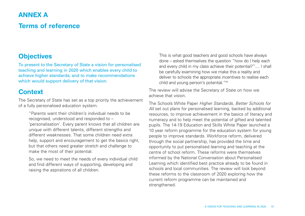## **ANNEX A Terms of reference**

## **Objectives**

To present to the Secretary of State a vision for personalised teaching and learning in 2020 which enables every child to achieve higher standards; and to make recommendations which would support delivery of that vision.

### **Context**

The Secretary of State has set as a top priority the achievement of a fully personalised education system.

"Parents want their children's individual needs to be recognised, understood and responded to – 'personalisation'. Every parent knows that all children are unique with different talents, different strengths and different weaknesses. That some children need extra help, support and encouragement to get the basics right, but that others need greater stretch and challenge to make the most of their potential.

So, we need to meet the needs of every individual child and find different ways of supporting, developing and raising the aspirations of all children.

This is what good teachers and good schools have always done – asked themselves the question "how do I help each and every child in my class achieve their potential?".... I shall be carefully examining how we make this a reality and deliver to schools the appropriate incentives to realise each child and young person's potential."48

The review will advise the Secretary of State on how we achieve that vision.

The Schools White Paper *Higher Standards, Better Schools for* All set out plans for personalised learning, backed by additional resources, to improve achievement in the basics of literacy and numeracy and to help meet the potential of gifted and talented pupils. The 14-19 Education and Skills White Paper launched a 10 year reform programme for the education system for young people to improve standards. Workforce reform, delivered through the social partnership, has provided the time and opportunity to put personalised learning and teaching at the centre of school reform. These reforms were themselves informed by the National Conversation about Personalised Learning which identified best practice already to be found in schools and local communities. The review will look beyond these reforms to the classroom of 2020 exploring how the current reform programme can be maintained and strengthened.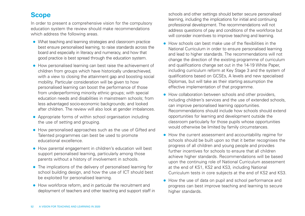## **Scope**

In order to present a comprehensive vision for the compulsory education system the review should make recommendations which address the following areas.

- What teaching and learning strategies and classroom practice best ensure personalised learning, to raise standards across the board and especially in literacy and numeracy, and how that good practice is best spread through the education system.
- **.** How personalised learning can best raise the achievement of children from groups which have historically underachieved, with a view to closing the attainment gap and boosting social mobility. Particular consideration will be given to how personalised learning can boost the performance of those from underperforming minority ethnic groups; with special education needs and disabilities in mainstream schools; from less advantaged socio-economic backgrounds; and looked after children. The review will also look at gender imbalances.
- Appropriate forms of within school organisation including the use of setting and grouping.
- **.** How personalised approaches such as the use of Gifted and Talented programmes can best be used to promote educational excellence.
- **•** How parental engagement in children's education will best support personalised learning, particularly among those parents without a history of involvement in schools.
- The implications of the delivery of personalised learning for school building design, and how the use of ICT should best be exploited for personalised learning.
- How workforce reform, and in particular the recruitment and deployment of teachers and other teaching and support staff in

schools and other settings should better secure personalised learning, including the implications for initial and continuing professional development. The recommendations will not address questions of pay and conditions of the workforce but will consider incentives to improve teaching and learning.

- $\bullet$  How schools can best make use of the flexibilities in the National Curriculum in order to ensure personalised learning and lead to higher standards. The recommendations will not change the direction of the existing programme of curriculum and qualifications change set out in the 14-19 White Paper, including curriculum reform at Key Stage 3 and the system of qualifications based on GCSEs, A levels and new specialised Diplomas, but will take as their starting assumption the effective implementation of that programme.
- $\bullet$  How collaboration between schools and other providers, including children's services and the use of extended schools, can improve personalised learning opportunities. Recommendations should include how schools should extend opportunities for learning and development outside the classroom particularly for those pupils whose opportunities would otherwise be limited by family circumstances.
- How the current assessment and accountability regime for schools should be built upon so that it better recognises the progress of all children and young people and provides further incentives for schools to ensure that all children achieve higher standards. Recommendations will be based upon the continuing role of National Curriculum assessment at the end of KS1, KS2 and KS3, including National Curriculum tests in core subjects at the end of KS2 and KS3.
- l How the use of data on pupil and school performance and progress can best improve teaching and learning to secure higher standards.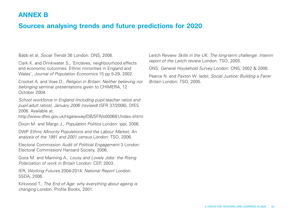## **ANNEX B**

## **Sources analysing trends and future predictions for 2020**

Babb et al, *Social Trends* 36 London: ONS, 2006.

Clark K. and Drinkwater S., 'Enclaves, neighbourhood effects and economic outcomes: Ethnic minorities in England and Wales', *Journal of Population Economics* 15 pp 5-29, 2002.

Crocket A. and Voas D., *Religion in Britain: Neither believing nor belonging* seminar presentations given to CHIMERA, 12 October 2004.

*School workforce in England (including pupil:teacher ratios and pupil:adult ratios), January 2006 (revised)* (SFR 37/2006), DfES 2006. Available at:

http://www.dfes.gov.uk/rsgateway/DB/SFR/s000681/index.shtml

Dixon M. and Margo J., *Population Politics* London: ippr, 2006.

DWP *Ethnic Minority Populations and the Labour Market: An analysis of the 1991 and 2001 census* London: TSO, 2006.

Electoral Commission *Audit of Political Engagement* 3 London: Electoral Commission/ Hansard Society, 2006.

Goos M. and Manning A., *Lousy and Lovely Jobs: the Rising Polarization of work in Britain* London: CEP, 2003.

IER, *Working Futures* 2004-2014: *National Report* London: SSDA, 2006.

Kirkwood T., *The End of Age: why everything about ageing is changing* London: Profile Books, 2001.

Leitch Review *Skills in the UK: The long-term challenge. Interim report of the Leitch review* London: TSO, 2005.

ONS, *General Household Survey* London: ONS, 2002 & 2006.

Pearce N. and Paxton W. (eds), *Social Justice: Building a Fairer Britain* London: TSO, 2005.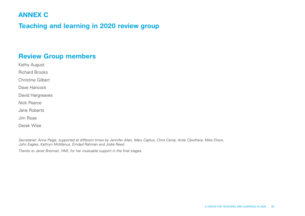## **ANNEX C**

## **Teaching and learning in 2020 review group**

## **Review Group members**

Kathy August Richard Brooks Christine Gilbert Dave Hancock David Hargreaves Nick Pearce Jane Roberts Jim Rose Derek Wise

*Secretariat: Anna Paige, supported at different times by Jennifer Allan, Mary Captus, Chris Caroe, Andy Cawthera, Mike Dixon, John Eagles, Kathryn McManus, Emdad Rahman and Jodie Reed.*

*Thanks to Janet Brennan, HMI, for her invaluable support in the final stages*.